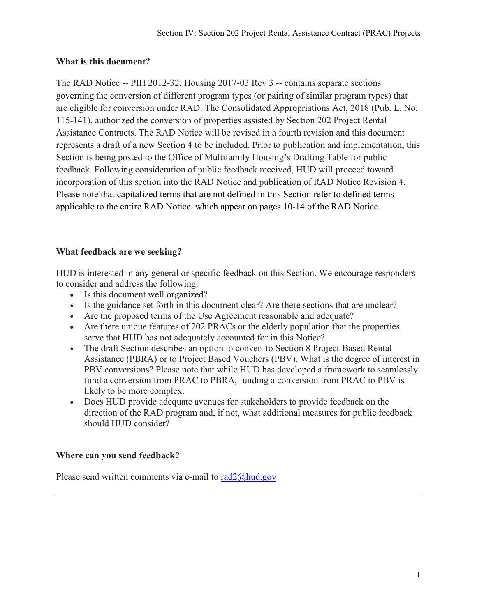## **What is this document?**

The RAD Notice -- PIH 2012-32, Housing 2017-03 Rev 3 -- contains separate sections governing the conversion of different program types (or pairing of similar program types) that are eligible for conversion under RAD. The Consolidated Appropriations Act, 2018 (Pub. L. No. 115-141), authorized the conversion of properties assisted by Section 202 Project Rental Assistance Contracts. The RAD Notice will be revised in a fourth revision and this document represents a draft of a new Section 4 to be included. Prior to publication and implementation, this Section is being posted to the Office of Multifamily Housing's Drafting Table for public feedback. Following consideration of public feedback received, HUD will proceed toward incorporation of this section into the RAD Notice and publication of RAD Notice Revision 4. Please note that capitalized terms that are not defined in this Section refer to defined terms applicable to the entire RAD Notice, which appear on pages 10-14 of the RAD Notice.

## **What feedback are we seeking?**

HUD is interested in any general or specific feedback on this Section. We encourage responders to consider and address the following:

- Is this document well organized?
- Is the guidance set forth in this document clear? Are there sections that are unclear?
- Are the proposed terms of the Use Agreement reasonable and adequate?
- Are there unique features of 202 PRACs or the elderly population that the properties serve that HUD has not adequately accounted for in this Notice?
- The draft Section describes an option to convert to Section 8 Project-Based Rental Assistance (PBRA) or to Project Based Vouchers (PBV). What is the degree of interest in PBV conversions? Please note that while HUD has developed a framework to seamlessly fund a conversion from PRAC to PBRA, funding a conversion from PRAC to PBV is likely to be more complex.
- Does HUD provide adequate avenues for stakeholders to provide feedback on the direction of the RAD program and, if not, what additional measures for public feedback should HUD consider?

#### **Where can you send feedback?**

Please send written comments via e-mail to  $rad2@hud.gov$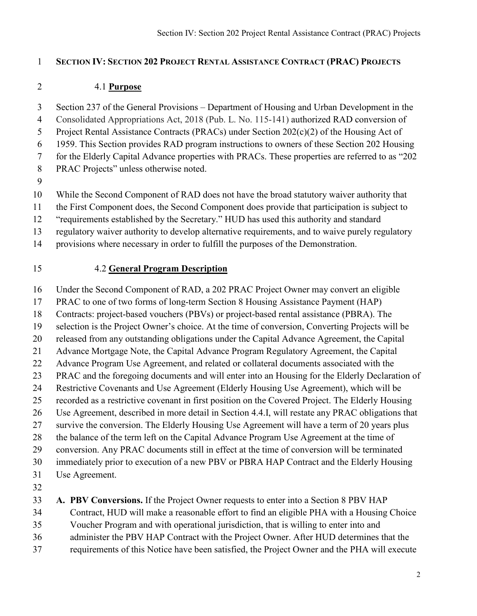### **SECTION IV: SECTION 202 PROJECT RENTAL ASSISTANCE CONTRACT (PRAC) PROJECTS**

#### 4.1 **Purpose**

 Section 237 of the General Provisions – Department of Housing and Urban Development in the Consolidated Appropriations Act, 2018 (Pub. L. No. 115-141) authorized RAD conversion of Project Rental Assistance Contracts (PRACs) under Section 202(c)(2) of the Housing Act of 1959. This Section provides RAD program instructions to owners of these Section 202 Housing for the Elderly Capital Advance properties with PRACs. These properties are referred to as "202 PRAC Projects" unless otherwise noted. While the Second Component of RAD does not have the broad statutory waiver authority that

the First Component does, the Second Component does provide that participation is subject to

"requirements established by the Secretary." HUD has used this authority and standard

regulatory waiver authority to develop alternative requirements, and to waive purely regulatory

provisions where necessary in order to fulfill the purposes of the Demonstration.

## 4.2 **General Program Description**

Under the Second Component of RAD, a 202 PRAC Project Owner may convert an eligible

PRAC to one of two forms of long-term Section 8 Housing Assistance Payment (HAP)

Contracts: project-based vouchers (PBVs) or project-based rental assistance (PBRA). The

selection is the Project Owner's choice. At the time of conversion, Converting Projects will be

released from any outstanding obligations under the Capital Advance Agreement, the Capital

- Advance Mortgage Note, the Capital Advance Program Regulatory Agreement, the Capital
- Advance Program Use Agreement, and related or collateral documents associated with the
- PRAC and the foregoing documents and will enter into an Housing for the Elderly Declaration of
- Restrictive Covenants and Use Agreement (Elderly Housing Use Agreement), which will be
- recorded as a restrictive covenant in first position on the Covered Project. The Elderly Housing Use Agreement, described in more detail in Section 4.4.I, will restate any PRAC obligations that
- survive the conversion. The Elderly Housing Use Agreement will have a term of 20 years plus

the balance of the term left on the Capital Advance Program Use Agreement at the time of

conversion. Any PRAC documents still in effect at the time of conversion will be terminated

immediately prior to execution of a new PBV or PBRA HAP Contract and the Elderly Housing

- Use Agreement.
- 

**A. PBV Conversions.** If the Project Owner requests to enter into a Section 8 PBV HAP

- Contract, HUD will make a reasonable effort to find an eligible PHA with a Housing Choice
- Voucher Program and with operational jurisdiction, that is willing to enter into and
- administer the PBV HAP Contract with the Project Owner. After HUD determines that the
- requirements of this Notice have been satisfied, the Project Owner and the PHA will execute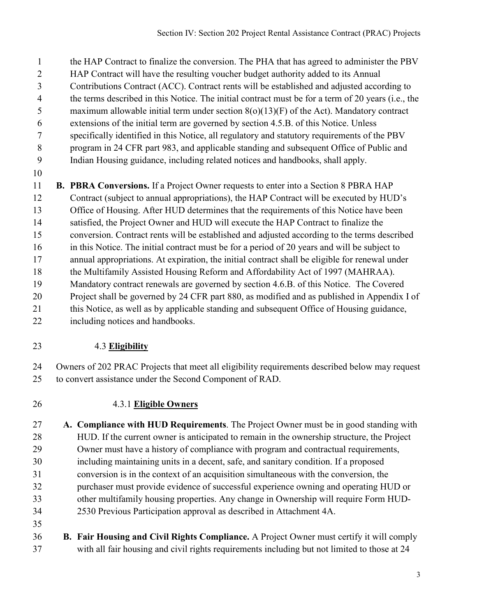- the HAP Contract to finalize the conversion. The PHA that has agreed to administer the PBV
- HAP Contract will have the resulting voucher budget authority added to its Annual
- Contributions Contract (ACC). Contract rents will be established and adjusted according to
- 4 the terms described in this Notice. The initial contract must be for a term of 20 years (i.e., the
- maximum allowable initial term under section 8(o)(13)(F) of the Act). Mandatory contract
- extensions of the initial term are governed by section 4.5.B. of this Notice. Unless
- specifically identified in this Notice, all regulatory and statutory requirements of the PBV program in 24 CFR part 983, and applicable standing and subsequent Office of Public and
- Indian Housing guidance, including related notices and handbooks, shall apply.
- 

 **B. PBRA Conversions.** If a Project Owner requests to enter into a Section 8 PBRA HAP Contract (subject to annual appropriations), the HAP Contract will be executed by HUD's Office of Housing. After HUD determines that the requirements of this Notice have been satisfied, the Project Owner and HUD will execute the HAP Contract to finalize the conversion. Contract rents will be established and adjusted according to the terms described 16 in this Notice. The initial contract must be for a period of 20 years and will be subject to annual appropriations. At expiration, the initial contract shall be eligible for renewal under the Multifamily Assisted Housing Reform and Affordability Act of 1997 (MAHRAA). Mandatory contract renewals are governed by section 4.6.B. of this Notice. The Covered Project shall be governed by 24 CFR part 880, as modified and as published in Appendix I of this Notice, as well as by applicable standing and subsequent Office of Housing guidance, including notices and handbooks.

4.3 **Eligibility**

 Owners of 202 PRAC Projects that meet all eligibility requirements described below may request to convert assistance under the Second Component of RAD.

4.3.1 **Eligible Owners**

 **A. Compliance with HUD Requirements**. The Project Owner must be in good standing with HUD. If the current owner is anticipated to remain in the ownership structure, the Project Owner must have a history of compliance with program and contractual requirements, including maintaining units in a decent, safe, and sanitary condition. If a proposed conversion is in the context of an acquisition simultaneous with the conversion, the purchaser must provide evidence of successful experience owning and operating HUD or other multifamily housing properties. Any change in Ownership will require Form HUD- 2530 Previous Participation approval as described in Attachment 4A. **B. Fair Housing and Civil Rights Compliance.** A Project Owner must certify it will comply

with all fair housing and civil rights requirements including but not limited to those at 24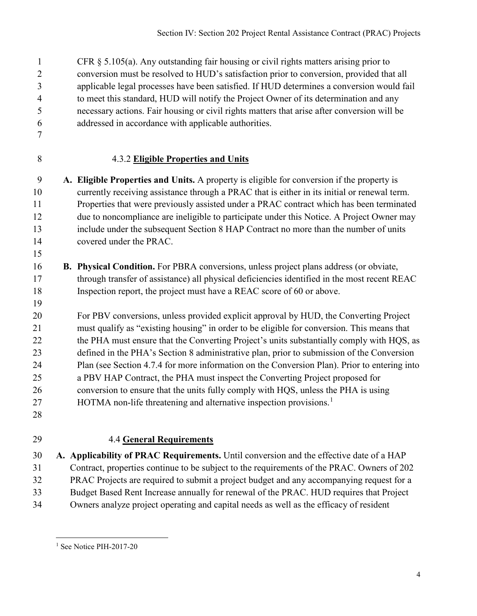| $\mathbf{1}$<br>$\overline{2}$<br>3<br>$\overline{4}$<br>5<br>6 | CFR $\S$ 5.105(a). Any outstanding fair housing or civil rights matters arising prior to<br>conversion must be resolved to HUD's satisfaction prior to conversion, provided that all<br>applicable legal processes have been satisfied. If HUD determines a conversion would fail<br>to meet this standard, HUD will notify the Project Owner of its determination and any<br>necessary actions. Fair housing or civil rights matters that arise after conversion will be<br>addressed in accordance with applicable authorities. |
|-----------------------------------------------------------------|-----------------------------------------------------------------------------------------------------------------------------------------------------------------------------------------------------------------------------------------------------------------------------------------------------------------------------------------------------------------------------------------------------------------------------------------------------------------------------------------------------------------------------------|
| $\tau$                                                          |                                                                                                                                                                                                                                                                                                                                                                                                                                                                                                                                   |
| 8                                                               | 4.3.2 Eligible Properties and Units                                                                                                                                                                                                                                                                                                                                                                                                                                                                                               |
| 9                                                               | A. Eligible Properties and Units. A property is eligible for conversion if the property is                                                                                                                                                                                                                                                                                                                                                                                                                                        |
| 10                                                              | currently receiving assistance through a PRAC that is either in its initial or renewal term.                                                                                                                                                                                                                                                                                                                                                                                                                                      |
| 11                                                              | Properties that were previously assisted under a PRAC contract which has been terminated                                                                                                                                                                                                                                                                                                                                                                                                                                          |
| 12                                                              | due to noncompliance are ineligible to participate under this Notice. A Project Owner may                                                                                                                                                                                                                                                                                                                                                                                                                                         |
| 13                                                              | include under the subsequent Section 8 HAP Contract no more than the number of units                                                                                                                                                                                                                                                                                                                                                                                                                                              |
| 14                                                              | covered under the PRAC.                                                                                                                                                                                                                                                                                                                                                                                                                                                                                                           |
| 15                                                              |                                                                                                                                                                                                                                                                                                                                                                                                                                                                                                                                   |
| 16                                                              | B. Physical Condition. For PBRA conversions, unless project plans address (or obviate,                                                                                                                                                                                                                                                                                                                                                                                                                                            |
| 17                                                              | through transfer of assistance) all physical deficiencies identified in the most recent REAC                                                                                                                                                                                                                                                                                                                                                                                                                                      |
| 18                                                              | Inspection report, the project must have a REAC score of 60 or above.                                                                                                                                                                                                                                                                                                                                                                                                                                                             |
| 19                                                              |                                                                                                                                                                                                                                                                                                                                                                                                                                                                                                                                   |
| 20                                                              | For PBV conversions, unless provided explicit approval by HUD, the Converting Project                                                                                                                                                                                                                                                                                                                                                                                                                                             |
| 21                                                              | must qualify as "existing housing" in order to be eligible for conversion. This means that                                                                                                                                                                                                                                                                                                                                                                                                                                        |
| 22                                                              | the PHA must ensure that the Converting Project's units substantially comply with HQS, as                                                                                                                                                                                                                                                                                                                                                                                                                                         |
| 23                                                              | defined in the PHA's Section 8 administrative plan, prior to submission of the Conversion                                                                                                                                                                                                                                                                                                                                                                                                                                         |
| 24                                                              | Plan (see Section 4.7.4 for more information on the Conversion Plan). Prior to entering into                                                                                                                                                                                                                                                                                                                                                                                                                                      |
| 25                                                              | a PBV HAP Contract, the PHA must inspect the Converting Project proposed for                                                                                                                                                                                                                                                                                                                                                                                                                                                      |
| 26                                                              | conversion to ensure that the units fully comply with HQS, unless the PHA is using                                                                                                                                                                                                                                                                                                                                                                                                                                                |
| 27                                                              | HOTMA non-life threatening and alternative inspection provisions. <sup>1</sup>                                                                                                                                                                                                                                                                                                                                                                                                                                                    |
| 28                                                              |                                                                                                                                                                                                                                                                                                                                                                                                                                                                                                                                   |
| 29                                                              | <b>4.4 General Requirements</b>                                                                                                                                                                                                                                                                                                                                                                                                                                                                                                   |
| 30                                                              | A. Applicability of PRAC Requirements. Until conversion and the effective date of a HAP                                                                                                                                                                                                                                                                                                                                                                                                                                           |
| 31                                                              | Contract, properties continue to be subject to the requirements of the PRAC. Owners of 202                                                                                                                                                                                                                                                                                                                                                                                                                                        |

PRAC Projects are required to submit a project budget and any accompanying request for a

 Budget Based Rent Increase annually for renewal of the PRAC. HUD requires that Project Owners analyze project operating and capital needs as well as the efficacy of resident

<span id="page-3-0"></span> $<sup>1</sup>$  See Notice PIH-2017-20</sup>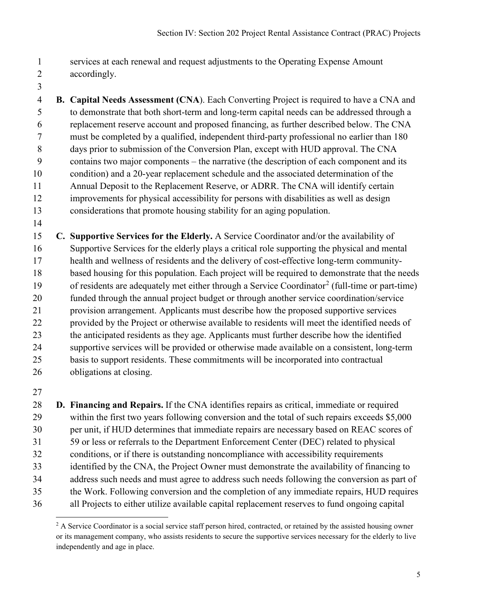- services at each renewal and request adjustments to the Operating Expense Amount accordingly.
- 

 **B. Capital Needs Assessment (CNA**). Each Converting Project is required to have a CNA and to demonstrate that both short-term and long-term capital needs can be addressed through a replacement reserve account and proposed financing, as further described below. The CNA must be completed by a qualified, independent third-party professional no earlier than 180 days prior to submission of the Conversion Plan, except with HUD approval. The CNA contains two major components – the narrative (the description of each component and its condition) and a 20-year replacement schedule and the associated determination of the Annual Deposit to the Replacement Reserve, or ADRR. The CNA will identify certain improvements for physical accessibility for persons with disabilities as well as design considerations that promote housing stability for an aging population.

 **C. Supportive Services for the Elderly.** A Service Coordinator and/or the availability of Supportive Services for the elderly plays a critical role supporting the physical and mental health and wellness of residents and the delivery of cost-effective long-term community-18 based housing for this population. Each project will be required to demonstrate that the needs 19 of residents are adequately met either through a Service Coordinator<sup>[2](#page-4-0)</sup> (full-time or part-time) funded through the annual project budget or through another service coordination/service provision arrangement. Applicants must describe how the proposed supportive services provided by the Project or otherwise available to residents will meet the identified needs of the anticipated residents as they age. Applicants must further describe how the identified supportive services will be provided or otherwise made available on a consistent, long-term basis to support residents. These commitments will be incorporated into contractual obligations at closing.

 **D. Financing and Repairs.** If the CNA identifies repairs as critical, immediate or required within the first two years following conversion and the total of such repairs exceeds \$5,000 per unit, if HUD determines that immediate repairs are necessary based on REAC scores of 59 or less or referrals to the Department Enforcement Center (DEC) related to physical conditions, or if there is outstanding noncompliance with accessibility requirements identified by the CNA, the Project Owner must demonstrate the availability of financing to 34 address such needs and must agree to address such needs following the conversion as part of the Work. Following conversion and the completion of any immediate repairs, HUD requires all Projects to either utilize available capital replacement reserves to fund ongoing capital

<span id="page-4-0"></span> A Service Coordinator is a social service staff person hired, contracted, or retained by the assisted housing owner or its management company, who assists residents to secure the supportive services necessary for the elderly to live independently and age in place.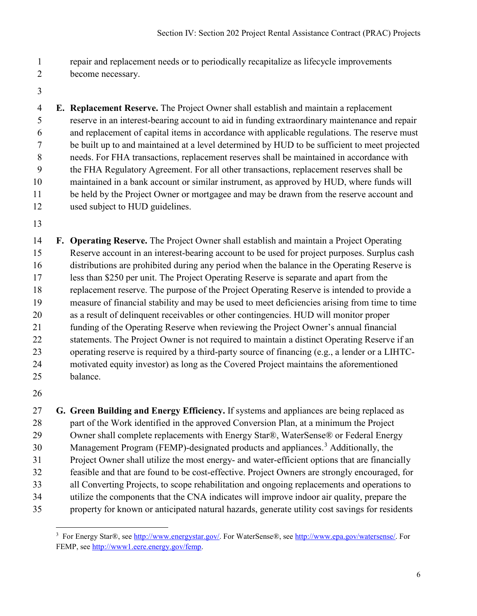- repair and replacement needs or to periodically recapitalize as lifecycle improvements
- become necessary.
- 

 **E. Replacement Reserve.** The Project Owner shall establish and maintain a replacement reserve in an interest-bearing account to aid in funding extraordinary maintenance and repair and replacement of capital items in accordance with applicable regulations. The reserve must be built up to and maintained at a level determined by HUD to be sufficient to meet projected needs. For FHA transactions, replacement reserves shall be maintained in accordance with the FHA Regulatory Agreement. For all other transactions, replacement reserves shall be maintained in a bank account or similar instrument, as approved by HUD, where funds will be held by the Project Owner or mortgagee and may be drawn from the reserve account and used subject to HUD guidelines.

 **F. Operating Reserve.** The Project Owner shall establish and maintain a Project Operating Reserve account in an interest-bearing account to be used for project purposes. Surplus cash distributions are prohibited during any period when the balance in the Operating Reserve is less than \$250 per unit. The Project Operating Reserve is separate and apart from the replacement reserve. The purpose of the Project Operating Reserve is intended to provide a measure of financial stability and may be used to meet deficiencies arising from time to time as a result of delinquent receivables or other contingencies. HUD will monitor proper funding of the Operating Reserve when reviewing the Project Owner's annual financial 22 statements. The Project Owner is not required to maintain a distinct Operating Reserve if an operating reserve is required by a third-party source of financing (e.g., a lender or a LIHTC- motivated equity investor) as long as the Covered Project maintains the aforementioned balance.

 **G. Green Building and Energy Efficiency.** If systems and appliances are being replaced as 28 part of the Work identified in the approved Conversion Plan, at a minimum the Project 29 Owner shall complete replacements with Energy Star®, WaterSense® or Federal Energy Management Program (FEMP)-designated products and appliances.<sup>[3](#page-5-0)</sup> Additionally, the Project Owner shall utilize the most energy- and water-efficient options that are financially feasible and that are found to be cost-effective. Project Owners are strongly encouraged, for all Converting Projects, to scope rehabilitation and ongoing replacements and operations to utilize the components that the CNA indicates will improve indoor air quality, prepare the property for known or anticipated natural hazards, generate utility cost savings for residents

<span id="page-5-0"></span> $\frac{1}{3}$ <sup>3</sup> For Energy Star®, see [http://www.energystar.gov/.](http://www.energystar.gov/) For WaterSense®, see [http://www.epa.gov/watersense/.](http://www.epa.gov/watersense/) For FEMP, see [http://www1.eere.energy.gov/femp.](http://www1.eere.energy.gov/femp)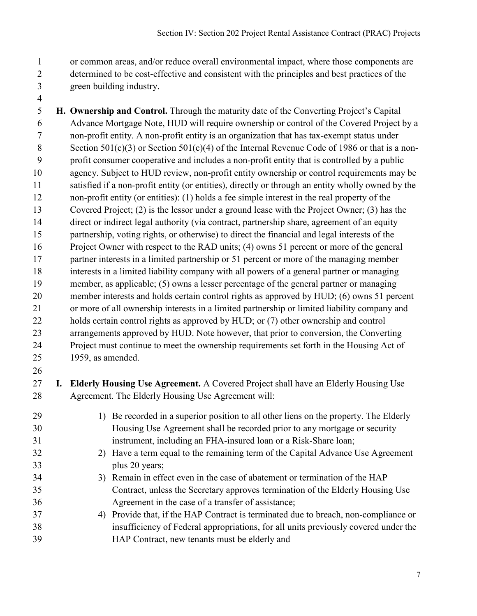or common areas, and/or reduce overall environmental impact, where those components are determined to be cost-effective and consistent with the principles and best practices of the green building industry.

 **H. Ownership and Control.** Through the maturity date of the Converting Project's Capital Advance Mortgage Note, HUD will require ownership or control of the Covered Project by a non-profit entity. A non-profit entity is an organization that has tax-exempt status under 8 Section 501(c)(3) or Section 501(c)(4) of the Internal Revenue Code of 1986 or that is a non- profit consumer cooperative and includes a non-profit entity that is controlled by a public agency. Subject to HUD review, non-profit entity ownership or control requirements may be satisfied if a non-profit entity (or entities), directly or through an entity wholly owned by the non-profit entity (or entities): (1) holds a fee simple interest in the real property of the Covered Project; (2) is the lessor under a ground lease with the Project Owner; (3) has the direct or indirect legal authority (via contract, partnership share, agreement of an equity partnership, voting rights, or otherwise) to direct the financial and legal interests of the Project Owner with respect to the RAD units; (4) owns 51 percent or more of the general 17 partner interests in a limited partnership or 51 percent or more of the managing member interests in a limited liability company with all powers of a general partner or managing member, as applicable; (5) owns a lesser percentage of the general partner or managing member interests and holds certain control rights as approved by HUD; (6) owns 51 percent or more of all ownership interests in a limited partnership or limited liability company and 22 holds certain control rights as approved by HUD; or (7) other ownership and control arrangements approved by HUD. Note however, that prior to conversion, the Converting Project must continue to meet the ownership requirements set forth in the Housing Act of 1959, as amended.

 **I. Elderly Housing Use Agreement.** A Covered Project shall have an Elderly Housing Use Agreement. The Elderly Housing Use Agreement will:

| 29  | 1) Be recorded in a superior position to all other liens on the property. The Elderly |
|-----|---------------------------------------------------------------------------------------|
| 30  | Housing Use Agreement shall be recorded prior to any mortgage or security             |
| 31  | instrument, including an FHA-insured loan or a Risk-Share loan;                       |
| 32  | 2) Have a term equal to the remaining term of the Capital Advance Use Agreement       |
| 33  | plus 20 years;                                                                        |
| 34  | 3) Remain in effect even in the case of abatement or termination of the HAP           |
| 35  | Contract, unless the Secretary approves termination of the Elderly Housing Use        |
| 36  | Agreement in the case of a transfer of assistance;                                    |
| 37  | 4) Provide that, if the HAP Contract is terminated due to breach, non-compliance or   |
| 38  | insufficiency of Federal appropriations, for all units previously covered under the   |
| -39 | HAP Contract, new tenants must be elderly and                                         |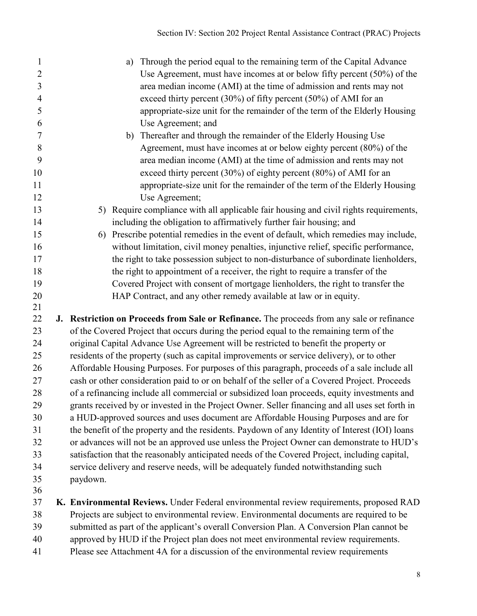| $\mathbf{1}$        | Through the period equal to the remaining term of the Capital Advance<br>a)                                                                       |
|---------------------|---------------------------------------------------------------------------------------------------------------------------------------------------|
| $\overline{2}$<br>3 | Use Agreement, must have incomes at or below fifty percent $(50\%)$ of the<br>area median income (AMI) at the time of admission and rents may not |
| $\overline{4}$      | exceed thirty percent (30%) of fifty percent (50%) of AMI for an                                                                                  |
| 5                   | appropriate-size unit for the remainder of the term of the Elderly Housing                                                                        |
| 6                   | Use Agreement; and                                                                                                                                |
| $\tau$              | Thereafter and through the remainder of the Elderly Housing Use<br>b)                                                                             |
| $8\,$               | Agreement, must have incomes at or below eighty percent (80%) of the                                                                              |
| 9                   | area median income (AMI) at the time of admission and rents may not                                                                               |
| 10                  | exceed thirty percent (30%) of eighty percent (80%) of AMI for an                                                                                 |
| 11                  | appropriate-size unit for the remainder of the term of the Elderly Housing                                                                        |
| 12                  | Use Agreement;                                                                                                                                    |
| 13                  | 5) Require compliance with all applicable fair housing and civil rights requirements,                                                             |
| 14                  | including the obligation to affirmatively further fair housing; and                                                                               |
| 15                  | Prescribe potential remedies in the event of default, which remedies may include,<br>6)                                                           |
| 16                  | without limitation, civil money penalties, injunctive relief, specific performance,                                                               |
| 17                  | the right to take possession subject to non-disturbance of subordinate lienholders,                                                               |
| 18                  | the right to appointment of a receiver, the right to require a transfer of the                                                                    |
| 19                  | Covered Project with consent of mortgage lienholders, the right to transfer the                                                                   |
| 20                  | HAP Contract, and any other remedy available at law or in equity.                                                                                 |
| 21                  |                                                                                                                                                   |
| 22                  | J. Restriction on Proceeds from Sale or Refinance. The proceeds from any sale or refinance                                                        |
| 23                  | of the Covered Project that occurs during the period equal to the remaining term of the                                                           |
| 24                  | original Capital Advance Use Agreement will be restricted to benefit the property or                                                              |
| 25                  | residents of the property (such as capital improvements or service delivery), or to other                                                         |
| 26                  | Affordable Housing Purposes. For purposes of this paragraph, proceeds of a sale include all                                                       |
| 27                  | cash or other consideration paid to or on behalf of the seller of a Covered Project. Proceeds                                                     |
| 28                  | of a refinancing include all commercial or subsidized loan proceeds, equity investments and                                                       |
| 29                  | grants received by or invested in the Project Owner. Seller financing and all uses set forth in                                                   |
| 30                  | a HUD-approved sources and uses document are Affordable Housing Purposes and are for                                                              |
| 31                  | the benefit of the property and the residents. Paydown of any Identity of Interest (IOI) loans                                                    |
| 32                  | or advances will not be an approved use unless the Project Owner can demonstrate to HUD's                                                         |
| 33                  | satisfaction that the reasonably anticipated needs of the Covered Project, including capital,                                                     |
| 34                  | service delivery and reserve needs, will be adequately funded notwithstanding such                                                                |
| 35                  | paydown.                                                                                                                                          |
| 36                  |                                                                                                                                                   |
| 37                  | K. Environmental Reviews. Under Federal environmental review requirements, proposed RAD                                                           |

Projects are subject to environmental review. Environmental documents are required to be

submitted as part of the applicant's overall Conversion Plan. A Conversion Plan cannot be

- approved by HUD if the Project plan does not meet environmental review requirements.
- Please see Attachment 4A for a discussion of the environmental review requirements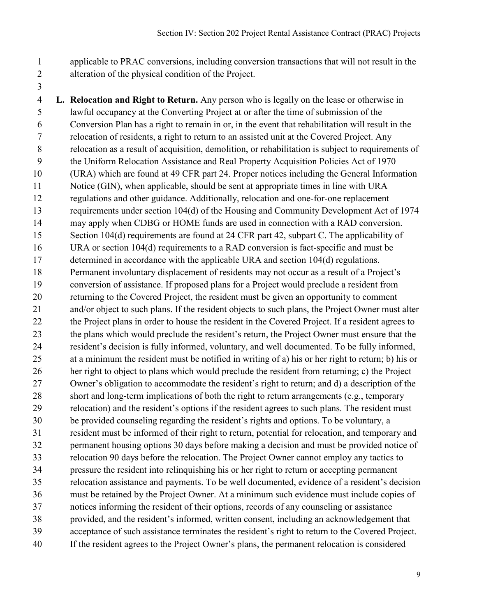applicable to PRAC conversions, including conversion transactions that will not result in the alteration of the physical condition of the Project.

 **L. Relocation and Right to Return.** Any person who is legally on the lease or otherwise in lawful occupancy at the Converting Project at or after the time of submission of the Conversion Plan has a right to remain in or, in the event that rehabilitation will result in the relocation of residents, a right to return to an assisted unit at the Covered Project. Any relocation as a result of acquisition, demolition, or rehabilitation is subject to requirements of the Uniform Relocation Assistance and Real Property Acquisition Policies Act of 1970 (URA) which are found at 49 CFR part 24. Proper notices including the General Information Notice (GIN), when applicable, should be sent at appropriate times in line with URA regulations and other guidance. Additionally, relocation and one-for-one replacement requirements under section 104(d) of the Housing and Community Development Act of 1974 may apply when CDBG or HOME funds are used in connection with a RAD conversion. Section 104(d) requirements are found at 24 CFR part 42, subpart C. The applicability of URA or section 104(d) requirements to a RAD conversion is fact-specific and must be determined in accordance with the applicable URA and section 104(d) regulations. Permanent involuntary displacement of residents may not occur as a result of a Project's conversion of assistance. If proposed plans for a Project would preclude a resident from returning to the Covered Project, the resident must be given an opportunity to comment 21 and/or object to such plans. If the resident objects to such plans, the Project Owner must alter the Project plans in order to house the resident in the Covered Project. If a resident agrees to the plans which would preclude the resident's return, the Project Owner must ensure that the resident's decision is fully informed, voluntary, and well documented. To be fully informed, at a minimum the resident must be notified in writing of a) his or her right to return; b) his or her right to object to plans which would preclude the resident from returning; c) the Project Owner's obligation to accommodate the resident's right to return; and d) a description of the short and long-term implications of both the right to return arrangements (e.g., temporary relocation) and the resident's options if the resident agrees to such plans. The resident must be provided counseling regarding the resident's rights and options. To be voluntary, a resident must be informed of their right to return, potential for relocation, and temporary and permanent housing options 30 days before making a decision and must be provided notice of relocation 90 days before the relocation. The Project Owner cannot employ any tactics to pressure the resident into relinquishing his or her right to return or accepting permanent relocation assistance and payments. To be well documented, evidence of a resident's decision must be retained by the Project Owner. At a minimum such evidence must include copies of notices informing the resident of their options, records of any counseling or assistance provided, and the resident's informed, written consent, including an acknowledgement that acceptance of such assistance terminates the resident's right to return to the Covered Project. If the resident agrees to the Project Owner's plans, the permanent relocation is considered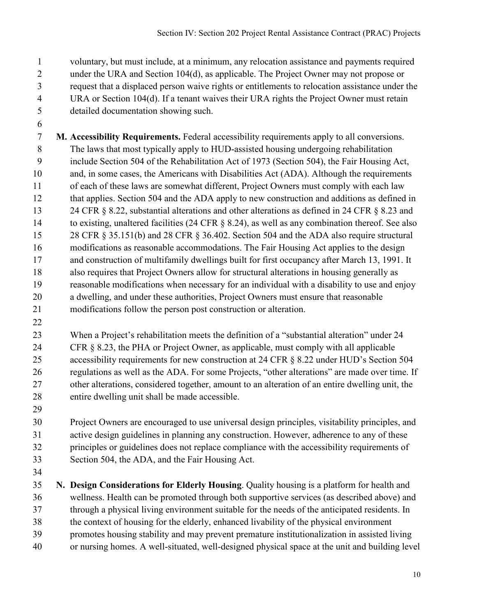voluntary, but must include, at a minimum, any relocation assistance and payments required under the URA and Section 104(d), as applicable. The Project Owner may not propose or request that a displaced person waive rights or entitlements to relocation assistance under the URA or Section 104(d). If a tenant waives their URA rights the Project Owner must retain detailed documentation showing such.

 **M. Accessibility Requirements.** Federal accessibility requirements apply to all conversions. The laws that most typically apply to HUD-assisted housing undergoing rehabilitation include Section 504 of the Rehabilitation Act of 1973 (Section 504), the Fair Housing Act, and, in some cases, the Americans with Disabilities Act (ADA). Although the requirements of each of these laws are somewhat different, Project Owners must comply with each law that applies. Section 504 and the ADA apply to new construction and additions as defined in 13 24 CFR  $\&$  8.22, substantial alterations and other alterations as defined in 24 CFR  $\&$  8.23 and to existing, unaltered facilities (24 CFR § 8.24), as well as any combination thereof. See also 28 CFR § 35.151(b) and 28 CFR § 36.402. Section 504 and the ADA also require structural modifications as reasonable accommodations. The Fair Housing Act applies to the design and construction of multifamily dwellings built for first occupancy after March 13, 1991. It also requires that Project Owners allow for structural alterations in housing generally as reasonable modifications when necessary for an individual with a disability to use and enjoy a dwelling, and under these authorities, Project Owners must ensure that reasonable modifications follow the person post construction or alteration.

 When a Project's rehabilitation meets the definition of a "substantial alteration" under 24 CFR § 8.23, the PHA or Project Owner, as applicable, must comply with all applicable accessibility requirements for new construction at 24 CFR § 8.22 under HUD's Section 504 regulations as well as the ADA. For some Projects, "other alterations" are made over time. If 27 other alterations, considered together, amount to an alteration of an entire dwelling unit, the entire dwelling unit shall be made accessible.

 Project Owners are encouraged to use universal design principles, visitability principles, and active design guidelines in planning any construction. However, adherence to any of these principles or guidelines does not replace compliance with the accessibility requirements of Section 504, the ADA, and the Fair Housing Act.

 **N. Design Considerations for Elderly Housing**. Quality housing is a platform for health and wellness. Health can be promoted through both supportive services (as described above) and through a physical living environment suitable for the needs of the anticipated residents. In the context of housing for the elderly, enhanced livability of the physical environment promotes housing stability and may prevent premature institutionalization in assisted living or nursing homes. A well-situated, well-designed physical space at the unit and building level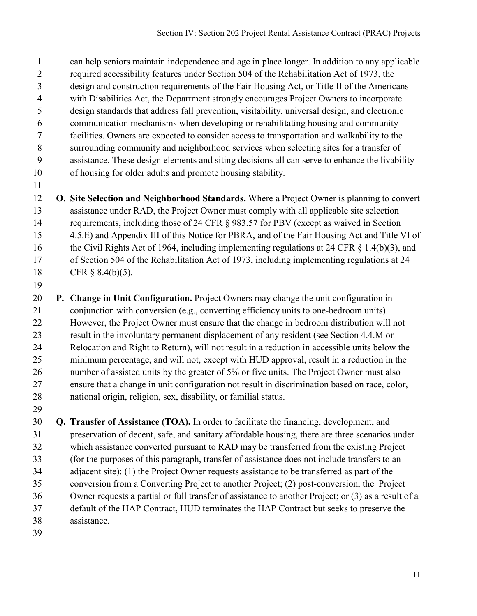can help seniors maintain independence and age in place longer. In addition to any applicable required accessibility features under Section 504 of the Rehabilitation Act of 1973, the design and construction requirements of the Fair Housing Act, or Title II of the Americans with Disabilities Act, the Department strongly encourages Project Owners to incorporate design standards that address fall prevention, visitability, universal design, and electronic communication mechanisms when developing or rehabilitating housing and community facilities. Owners are expected to consider access to transportation and walkability to the surrounding community and neighborhood services when selecting sites for a transfer of assistance. These design elements and siting decisions all can serve to enhance the livability of housing for older adults and promote housing stability.

 **O. Site Selection and Neighborhood Standards.** Where a Project Owner is planning to convert assistance under RAD, the Project Owner must comply with all applicable site selection requirements, including those of 24 CFR § 983.57 for PBV (except as waived in Section 4.5.E) and Appendix III of this Notice for PBRA, and of the Fair Housing Act and Title VI of the Civil Rights Act of 1964, including implementing regulations at 24 CFR § 1.4(b)(3), and of Section 504 of the Rehabilitation Act of 1973, including implementing regulations at 24 CFR § 8.4(b)(5).

 **P. Change in Unit Configuration.** Project Owners may change the unit configuration in conjunction with conversion (e.g., converting efficiency units to one-bedroom units). However, the Project Owner must ensure that the change in bedroom distribution will not result in the involuntary permanent displacement of any resident (see Section 4.4.M on Relocation and Right to Return), will not result in a reduction in accessible units below the minimum percentage, and will not, except with HUD approval, result in a reduction in the 26 number of assisted units by the greater of 5% or five units. The Project Owner must also ensure that a change in unit configuration not result in discrimination based on race, color, national origin, religion, sex, disability, or familial status.

 **Q. Transfer of Assistance (TOA).** In order to facilitate the financing, development, and preservation of decent, safe, and sanitary affordable housing, there are three scenarios under which assistance converted pursuant to RAD may be transferred from the existing Project (for the purposes of this paragraph, transfer of assistance does not include transfers to an adjacent site): (1) the Project Owner requests assistance to be transferred as part of the conversion from a Converting Project to another Project; (2) post-conversion, the Project Owner requests a partial or full transfer of assistance to another Project; or (3) as a result of a default of the HAP Contract, HUD terminates the HAP Contract but seeks to preserve the assistance.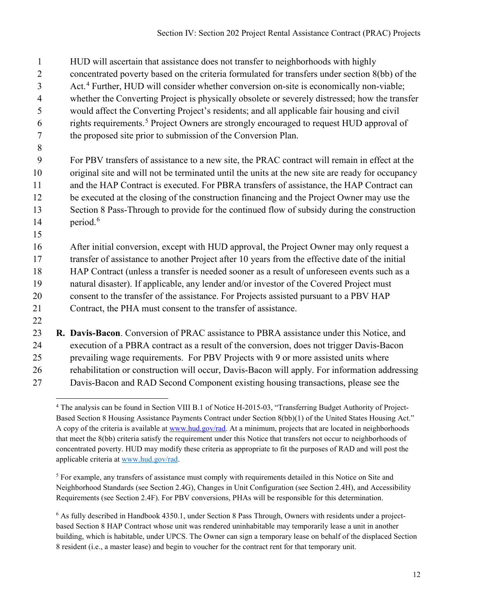HUD will ascertain that assistance does not transfer to neighborhoods with highly concentrated poverty based on the criteria formulated for transfers under section 8(bb) of the 3 Act.<sup>[4](#page-11-0)</sup> Further, HUD will consider whether conversion on-site is economically non-viable; whether the Converting Project is physically obsolete or severely distressed; how the transfer would affect the Converting Project's residents; and all applicable fair housing and civil  $6 \text{ right.}$  [5](#page-11-1) Project Owners are strongly encouraged to request HUD approval of the proposed site prior to submission of the Conversion Plan. For PBV transfers of assistance to a new site, the PRAC contract will remain in effect at the original site and will not be terminated until the units at the new site are ready for occupancy and the HAP Contract is executed. For PBRA transfers of assistance, the HAP Contract can be executed at the closing of the construction financing and the Project Owner may use the Section 8 Pass-Through to provide for the continued flow of subsidy during the construction period. [6](#page-11-2) After initial conversion, except with HUD approval, the Project Owner may only request a transfer of assistance to another Project after 10 years from the effective date of the initial HAP Contract (unless a transfer is needed sooner as a result of unforeseen events such as a natural disaster). If applicable, any lender and/or investor of the Covered Project must consent to the transfer of the assistance. For Projects assisted pursuant to a PBV HAP Contract, the PHA must consent to the transfer of assistance. **R. Davis-Bacon**. Conversion of PRAC assistance to PBRA assistance under this Notice, and execution of a PBRA contract as a result of the conversion, does not trigger Davis-Bacon prevailing wage requirements. For PBV Projects with 9 or more assisted units where rehabilitation or construction will occur, Davis-Bacon will apply. For information addressing

<span id="page-11-0"></span>Davis-Bacon and RAD Second Component existing housing transactions, please see the

 The analysis can be found in Section VIII B.1 of Notice H-2015-03, "Transferring Budget Authority of Project-Based Section 8 Housing Assistance Payments Contract under Section 8(bb)(1) of the United States Housing Act." A copy of the criteria is available a[t www.hud.gov/rad.](http://www.hud.gov/rad) At a minimum, projects that are located in neighborhoods that meet the 8(bb) criteria satisfy the requirement under this Notice that transfers not occur to neighborhoods of concentrated poverty. HUD may modify these criteria as appropriate to fit the purposes of RAD and will post the applicable criteria at [www.hud.gov/rad.](file://HLANNFP019/users1/H0/H56050/TRA/Notice/Revision%202/%3Ehttp:/www.hud.gov/rad%3C) 

<span id="page-11-1"></span> For example, any transfers of assistance must comply with requirements detailed in this Notice on Site and Neighborhood Standards (see Section 2.4G), Changes in Unit Configuration (see Section 2.4H), and Accessibility Requirements (see Section 2.4F). For PBV conversions, PHAs will be responsible for this determination.

<span id="page-11-2"></span> As fully described in Handbook 4350.1, under Section 8 Pass Through, Owners with residents under a projectbased Section 8 HAP Contract whose unit was rendered uninhabitable may temporarily lease a unit in another building, which is habitable, under UPCS. The Owner can sign a temporary lease on behalf of the displaced Section 8 resident (i.e., a master lease) and begin to voucher for the contract rent for that temporary unit.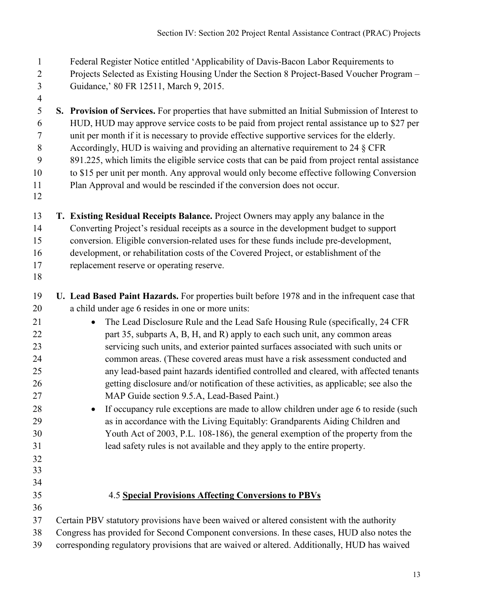Federal Register Notice entitled 'Applicability of Davis-Bacon Labor Requirements to Projects Selected as Existing Housing Under the Section 8 Project-Based Voucher Program – Guidance,' 80 FR 12511, March 9, 2015. **S. Provision of Services.** For properties that have submitted an Initial Submission of Interest to HUD, HUD may approve service costs to be paid from project rental assistance up to \$27 per unit per month if it is necessary to provide effective supportive services for the elderly. Accordingly, HUD is waiving and providing an alternative requirement to 24 § CFR 891.225, which limits the eligible service costs that can be paid from project rental assistance to \$15 per unit per month. Any approval would only become effective following Conversion Plan Approval and would be rescinded if the conversion does not occur. **T. Existing Residual Receipts Balance.** Project Owners may apply any balance in the Converting Project's residual receipts as a source in the development budget to support conversion. Eligible conversion-related uses for these funds include pre-development, development, or rehabilitation costs of the Covered Project, or establishment of the replacement reserve or operating reserve. **U. Lead Based Paint Hazards.** For properties built before 1978 and in the infrequent case that a child under age 6 resides in one or more units: • The Lead Disclosure Rule and the Lead Safe Housing Rule (specifically, 24 CFR part 35, subparts A, B, H, and R) apply to each such unit, any common areas servicing such units, and exterior painted surfaces associated with such units or common areas. (These covered areas must have a risk assessment conducted and any lead-based paint hazards identified controlled and cleared, with affected tenants getting disclosure and/or notification of these activities, as applicable; see also the MAP Guide section 9.5.A, Lead-Based Paint.) • If occupancy rule exceptions are made to allow children under age 6 to reside (such as in accordance with the Living Equitably: Grandparents Aiding Children and Youth Act of 2003, P.L. 108-186), the general exemption of the property from the lead safety rules is not available and they apply to the entire property.

- 
- 
- 

## 4.5 **Special Provisions Affecting Conversions to PBVs**

- Certain PBV statutory provisions have been waived or altered consistent with the authority
- Congress has provided for Second Component conversions. In these cases, HUD also notes the
- corresponding regulatory provisions that are waived or altered. Additionally, HUD has waived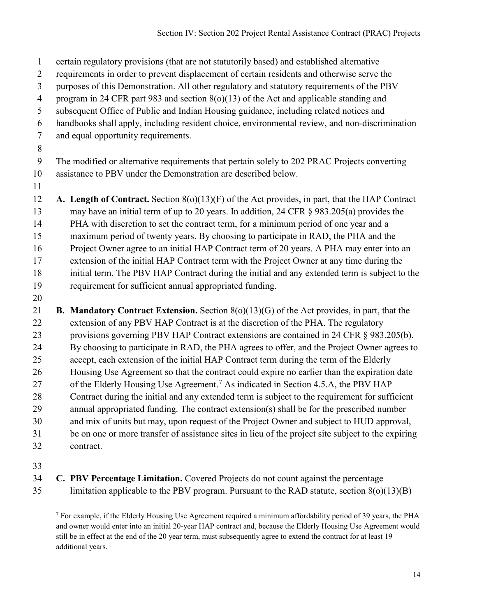- certain regulatory provisions (that are not statutorily based) and established alternative requirements in order to prevent displacement of certain residents and otherwise serve the purposes of this Demonstration. All other regulatory and statutory requirements of the PBV program in 24 CFR part 983 and section 8(o)(13) of the Act and applicable standing and subsequent Office of Public and Indian Housing guidance, including related notices and handbooks shall apply, including resident choice, environmental review, and non-discrimination and equal opportunity requirements. The modified or alternative requirements that pertain solely to 202 PRAC Projects converting assistance to PBV under the Demonstration are described below. **A. Length of Contract.** Section 8(o)(13)(F) of the Act provides, in part, that the HAP Contract may have an initial term of up to 20 years. In addition, 24 CFR § 983.205(a) provides the PHA with discretion to set the contract term, for a minimum period of one year and a maximum period of twenty years. By choosing to participate in RAD, the PHA and the Project Owner agree to an initial HAP Contract term of 20 years. A PHA may enter into an extension of the initial HAP Contract term with the Project Owner at any time during the initial term. The PBV HAP Contract during the initial and any extended term is subject to the requirement for sufficient annual appropriated funding. **B. Mandatory Contract Extension.** Section 8(o)(13)(G) of the Act provides, in part, that the extension of any PBV HAP Contract is at the discretion of the PHA. The regulatory
- provisions governing PBV HAP Contract extensions are contained in 24 CFR § 983.205(b). By choosing to participate in RAD, the PHA agrees to offer, and the Project Owner agrees to accept, each extension of the initial HAP Contract term during the term of the Elderly Housing Use Agreement so that the contract could expire no earlier than the expiration date [7](#page-13-0) of the Elderly Housing Use Agreement.<sup>7</sup> As indicated in Section 4.5.A, the PBV HAP Contract during the initial and any extended term is subject to the requirement for sufficient annual appropriated funding. The contract extension(s) shall be for the prescribed number and mix of units but may, upon request of the Project Owner and subject to HUD approval, be on one or more transfer of assistance sites in lieu of the project site subject to the expiring
- contract.

<span id="page-13-0"></span> **C. PBV Percentage Limitation.** Covered Projects do not count against the percentage limitation applicable to the PBV program. Pursuant to the RAD statute, section 8(o)(13)(B)

 For example, if the Elderly Housing Use Agreement required a minimum affordability period of 39 years, the PHA and owner would enter into an initial 20-year HAP contract and, because the Elderly Housing Use Agreement would still be in effect at the end of the 20 year term, must subsequently agree to extend the contract for at least 19 additional years.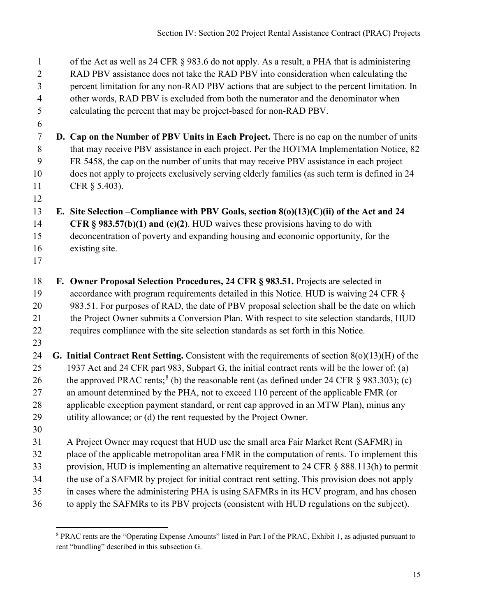of the Act as well as 24 CFR § 983.6 do not apply. As a result, a PHA that is administering RAD PBV assistance does not take the RAD PBV into consideration when calculating the percent limitation for any non-RAD PBV actions that are subject to the percent limitation. In other words, RAD PBV is excluded from both the numerator and the denominator when calculating the percent that may be project-based for non-RAD PBV. **D. Cap on the Number of PBV Units in Each Project.** There is no cap on the number of units 8 that may receive PBV assistance in each project. Per the HOTMA Implementation Notice, 82 FR 5458, the cap on the number of units that may receive PBV assistance in each project does not apply to projects exclusively serving elderly families (as such term is defined in [24](https://www.federalregister.gov/select-citation/2017/01/18/24-CFR-5.403)  [CFR § 5.403\)](https://www.federalregister.gov/select-citation/2017/01/18/24-CFR-5.403). **E. Site Selection –Compliance with PBV Goals, section 8(o)(13)(C)(ii) of the Act and 24 CFR § 983.57(b)(1) and (c)(2)**. HUD waives these provisions having to do with deconcentration of poverty and expanding housing and economic opportunity, for the existing site. **F. Owner Proposal Selection Procedures, 24 CFR § 983.51.** Projects are selected in accordance with program requirements detailed in this Notice. HUD is waiving 24 CFR § 20 983.51. For purposes of RAD, the date of PBV proposal selection shall be the date on which 21 the Project Owner submits a Conversion Plan. With respect to site selection standards, HUD requires compliance with the site selection standards as set forth in this Notice. **G. Initial Contract Rent Setting.** Consistent with the requirements of section 8(o)(13)(H) of the 1937 Act and 24 CFR part 983, Subpart G, the initial contract rents will be the lower of: (a) 26 the approved PRAC rents;<sup>[8](#page-14-0)</sup> (b) the reasonable rent (as defined under 24 CFR  $\S$  983.303); (c) 27 an amount determined by the PHA, not to exceed 110 percent of the applicable FMR (or applicable exception payment standard, or rent cap approved in an MTW Plan), minus any utility allowance; or (d) the rent requested by the Project Owner. A Project Owner may request that HUD use the small area Fair Market Rent (SAFMR) in place of the applicable metropolitan area FMR in the computation of rents. To implement this provision, HUD is implementing an alternative requirement to 24 CFR § 888.113(h) to permit the use of a SAFMR by project for initial contract rent setting. This provision does not apply in cases where the administering PHA is using SAFMRs in its HCV program, and has chosen to apply the SAFMRs to its PBV projects (consistent with HUD regulations on the subject).

<span id="page-14-0"></span> PRAC rents are the "Operating Expense Amounts" listed in Part I of the PRAC, Exhibit 1, as adjusted pursuant to rent "bundling" described in this subsection G.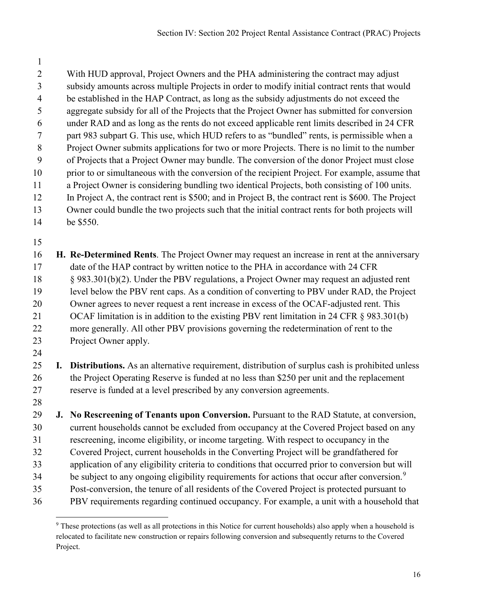With HUD approval, Project Owners and the PHA administering the contract may adjust subsidy amounts across multiple Projects in order to modify initial contract rents that would be established in the HAP Contract, as long as the subsidy adjustments do not exceed the aggregate subsidy for all of the Projects that the Project Owner has submitted for conversion

 under RAD and as long as the rents do not exceed applicable rent limits described in 24 CFR part 983 subpart G. This use, which HUD refers to as "bundled" rents, is permissible when a Project Owner submits applications for two or more Projects. There is no limit to the number of Projects that a Project Owner may bundle. The conversion of the donor Project must close prior to or simultaneous with the conversion of the recipient Project. For example, assume that a Project Owner is considering bundling two identical Projects, both consisting of 100 units. In Project A, the contract rent is \$500; and in Project B, the contract rent is \$600. The Project

- Owner could bundle the two projects such that the initial contract rents for both projects will
- be \$550.

 **H. Re-Determined Rents**. The Project Owner may request an increase in rent at the anniversary 17 date of the HAP contract by written notice to the PHA in accordance with 24 CFR § 983.301(b)(2). Under the PBV regulations, a Project Owner may request an adjusted rent level below the PBV rent caps. As a condition of converting to PBV under RAD, the Project Owner agrees to never request a rent increase in excess of the OCAF-adjusted rent. This 21 OCAF limitation is in addition to the existing PBV rent limitation in 24 CFR § 983.301(b) more generally. All other PBV provisions governing the redetermination of rent to the Project Owner apply.

 **I. Distributions.** As an alternative requirement, distribution of surplus cash is prohibited unless 26 the Project Operating Reserve is funded at no less than \$250 per unit and the replacement reserve is funded at a level prescribed by any conversion agreements.

 **J. No Rescreening of Tenants upon Conversion.** Pursuant to the RAD Statute, at conversion, current households cannot be excluded from occupancy at the Covered Project based on any rescreening, income eligibility, or income targeting. With respect to occupancy in the Covered Project, current households in the Converting Project will be grandfathered for application of any eligibility criteria to conditions that occurred prior to conversion but will Be subject to any ongoing eligibility requirements for actions that occur after conversion.<sup>[9](#page-15-0)</sup> Post-conversion, the tenure of all residents of the Covered Project is protected pursuant to PBV requirements regarding continued occupancy. For example, a unit with a household that

<span id="page-15-0"></span> These protections (as well as all protections in this Notice for current households) also apply when a household is relocated to facilitate new construction or repairs following conversion and subsequently returns to the Covered Project.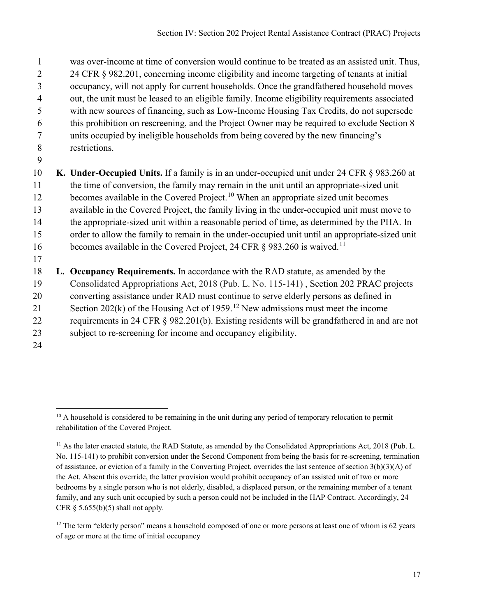was over-income at time of conversion would continue to be treated as an assisted unit. Thus, 24 CFR § 982.201, concerning income eligibility and income targeting of tenants at initial occupancy, will not apply for current households. Once the grandfathered household moves out, the unit must be leased to an eligible family. Income eligibility requirements associated with new sources of financing, such as Low-Income Housing Tax Credits, do not supersede this prohibition on rescreening, and the Project Owner may be required to exclude Section 8 units occupied by ineligible households from being covered by the new financing's restrictions.

 **K. Under-Occupied Units.** If a family is in an under-occupied unit under 24 CFR § 983.260 at 11 the time of conversion, the family may remain in the unit until an appropriate-sized unit 12 becomes available in the Covered Project.<sup>[10](#page-16-0)</sup> When an appropriate sized unit becomes available in the Covered Project, the family living in the under-occupied unit must move to the appropriate-sized unit within a reasonable period of time, as determined by the PHA. In order to allow the family to remain in the under-occupied unit until an appropriate-sized unit 16 becomes available in the Covered Project, 24 CFR § 983.260 is waived.<sup>[11](#page-16-1)</sup>

 **L. Occupancy Requirements.** In accordance with the RAD statute, as amended by the Consolidated Appropriations Act, 2018 (Pub. L. No. 115-141) , Section 202 PRAC projects converting assistance under RAD must continue to serve elderly persons as defined in 21 Section 202(k) of the Housing Act of 1959.<sup>[12](#page-16-2)</sup> New admissions must meet the income requirements in 24 CFR § 982.201(b). Existing residents will be grandfathered in and are not subject to re-screening for income and occupancy eligibility.

<span id="page-16-0"></span> A household is considered to be remaining in the unit during any period of temporary relocation to permit rehabilitation of the Covered Project.

<span id="page-16-1"></span><sup>&</sup>lt;sup>11</sup> As the later enacted statute, the RAD Statute, as amended by the Consolidated Appropriations Act, 2018 (Pub. L. No. 115-141) to prohibit conversion under the Second Component from being the basis for re-screening, termination of assistance, or eviction of a family in the Converting Project, overrides the last sentence of section 3(b)(3)(A) of the Act. Absent this override, the latter provision would prohibit occupancy of an assisted unit of two or more bedrooms by a single person who is not elderly, disabled, a displaced person, or the remaining member of a tenant family, and any such unit occupied by such a person could not be included in the HAP Contract. Accordingly, 24 CFR  $\S$  5.655(b)(5) shall not apply.

<span id="page-16-2"></span> The term ["elderly person"](https://www.law.cornell.edu/definitions/uscode.php?width=840&height=800&iframe=true&def_id=12-USC-1276302974-1510435013&term_occur=11&term_src=title:12:chapter:13:section:1701q) means a household composed of one or more persons at least one of whom is 62 years of age or more at the time of initial occupancy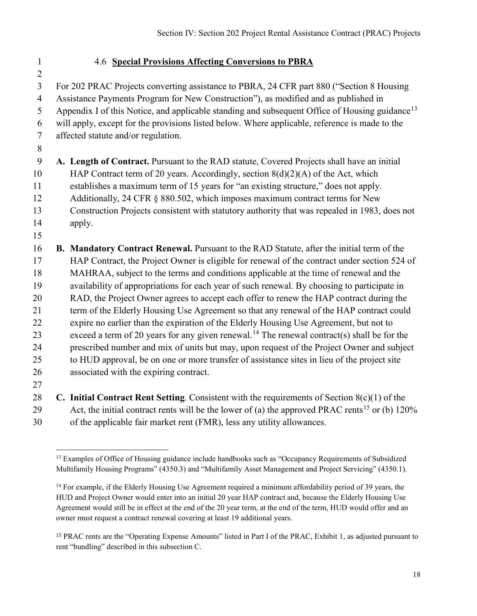## 4.6 **Special Provisions Affecting Conversions to PBRA**

 For 202 PRAC Projects converting assistance to PBRA, 24 CFR part 880 ("Section 8 Housing Assistance Payments Program for New Construction"), as modified and as published in 5 Appendix I of this Notice, and applicable standing and subsequent Office of Housing guidance<sup>[13](#page-17-0)</sup> will apply, except for the provisions listed below. Where applicable, reference is made to the affected statute and/or regulation.

 **A. Length of Contract.** Pursuant to the RAD statute, Covered Projects shall have an initial HAP Contract term of 20 years. Accordingly, section 8(d)(2)(A) of the Act, which establishes a maximum term of 15 years for "an existing structure," does not apply. Additionally, 24 CFR § 880.502, which imposes maximum contract terms for New Construction Projects consistent with statutory authority that was repealed in 1983, does not apply.

 **B. Mandatory Contract Renewal.** Pursuant to the RAD Statute, after the initial term of the HAP Contract, the Project Owner is eligible for renewal of the contract under section 524 of MAHRAA, subject to the terms and conditions applicable at the time of renewal and the availability of appropriations for each year of such renewal. By choosing to participate in RAD, the Project Owner agrees to accept each offer to renew the HAP contract during the term of the Elderly Housing Use Agreement so that any renewal of the HAP contract could expire no earlier than the expiration of the Elderly Housing Use Agreement, but not to 23 exceed a term of 20 years for any given renewal.<sup>[14](#page-17-1)</sup> The renewal contract(s) shall be for the prescribed number and mix of units but may, upon request of the Project Owner and subject to HUD approval, be on one or more transfer of assistance sites in lieu of the project site associated with the expiring contract.

 **C. Initial Contract Rent Setting**. Consistent with the requirements of Section 8(c)(1) of the 29 Act, the initial contract rents will be the lower of (a) the approved PRAC rents<sup>[15](#page-17-2)</sup> or (b) 120%

<span id="page-17-0"></span>of the applicable fair market rent (FMR), less any utility allowances.

<sup>&</sup>lt;sup>13</sup> Examples of Office of Housing guidance include handbooks such as "Occupancy Requirements of Subsidized Multifamily Housing Programs" (4350.3) and "Multifamily Asset Management and Project Servicing" (4350.1).

<span id="page-17-1"></span><sup>&</sup>lt;sup>14</sup> For example, if the Elderly Housing Use Agreement required a minimum affordability period of 39 years, the HUD and Project Owner would enter into an initial 20 year HAP contract and, because the Elderly Housing Use Agreement would still be in effect at the end of the 20 year term, at the end of the term, HUD would offer and an owner must request a contract renewal covering at least 19 additional years.

<span id="page-17-2"></span> PRAC rents are the "Operating Expense Amounts" listed in Part I of the PRAC, Exhibit 1, as adjusted pursuant to rent "bundling" described in this subsection C.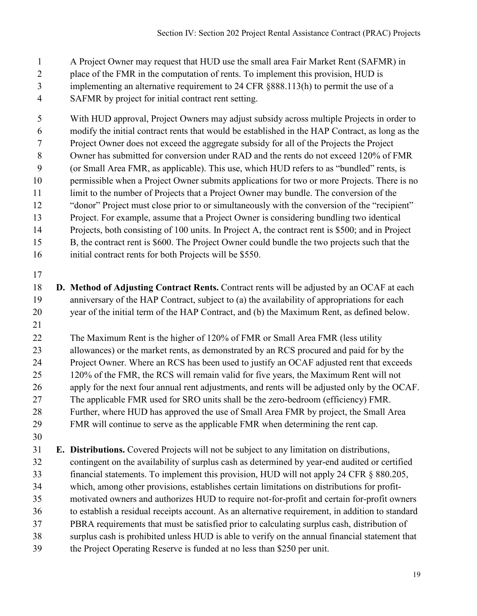A Project Owner may request that HUD use the small area Fair Market Rent (SAFMR) in place of the FMR in the computation of rents. To implement this provision, HUD is implementing an alternative requirement to 24 CFR §888.113(h) to permit the use of a SAFMR by project for initial contract rent setting.

 With HUD approval, Project Owners may adjust subsidy across multiple Projects in order to modify the initial contract rents that would be established in the HAP Contract, as long as the Project Owner does not exceed the aggregate subsidy for all of the Projects the Project Owner has submitted for conversion under RAD and the rents do not exceed 120% of FMR (or Small Area FMR, as applicable). This use, which HUD refers to as "bundled" rents, is permissible when a Project Owner submits applications for two or more Projects. There is no 11 limit to the number of Projects that a Project Owner may bundle. The conversion of the "donor" Project must close prior to or simultaneously with the conversion of the "recipient" Project. For example, assume that a Project Owner is considering bundling two identical Projects, both consisting of 100 units. In Project A, the contract rent is \$500; and in Project B, the contract rent is \$600. The Project Owner could bundle the two projects such that the initial contract rents for both Projects will be \$550.

- 
- **D. Method of Adjusting Contract Rents.** Contract rents will be adjusted by an OCAF at each anniversary of the HAP Contract, subject to (a) the availability of appropriations for each year of the initial term of the HAP Contract, and (b) the Maximum Rent, as defined below.
- 

 The Maximum Rent is the higher of 120% of FMR or Small Area FMR (less utility allowances) or the market rents, as demonstrated by an RCS procured and paid for by the Project Owner. Where an RCS has been used to justify an OCAF adjusted rent that exceeds 120% of the FMR, the RCS will remain valid for five years, the Maximum Rent will not apply for the next four annual rent adjustments, and rents will be adjusted only by the OCAF. The applicable FMR used for SRO units shall be the zero-bedroom (efficiency) FMR. Further, where HUD has approved the use of Small Area FMR by project, the Small Area FMR will continue to serve as the applicable FMR when determining the rent cap.

 **E. Distributions.** Covered Projects will not be subject to any limitation on distributions, contingent on the availability of surplus cash as determined by year-end audited or certified financial statements. To implement this provision, HUD will not apply 24 CFR § 880.205, which, among other provisions, establishes certain limitations on distributions for profit- motivated owners and authorizes HUD to require not-for-profit and certain for-profit owners to establish a residual receipts account. As an alternative requirement, in addition to standard PBRA requirements that must be satisfied prior to calculating surplus cash, distribution of surplus cash is prohibited unless HUD is able to verify on the annual financial statement that the Project Operating Reserve is funded at no less than \$250 per unit.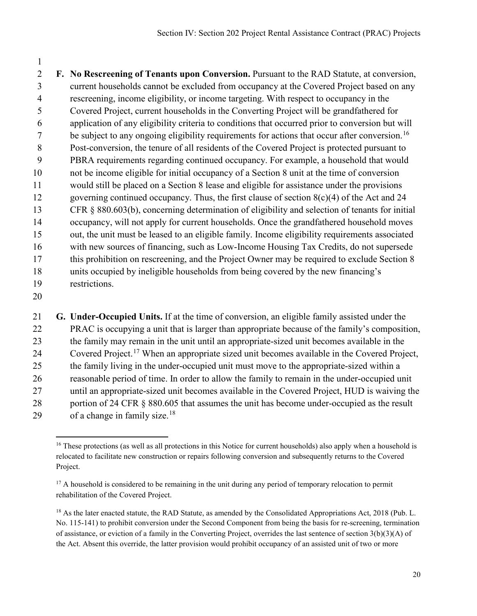**F. No Rescreening of Tenants upon Conversion.** Pursuant to the RAD Statute, at conversion, current households cannot be excluded from occupancy at the Covered Project based on any rescreening, income eligibility, or income targeting. With respect to occupancy in the Covered Project, current households in the Converting Project will be grandfathered for application of any eligibility criteria to conditions that occurred prior to conversion but will be subject to any ongoing eligibility requirements for actions that occur after conversion.<sup>[16](#page-19-0)</sup> Post-conversion, the tenure of all residents of the Covered Project is protected pursuant to PBRA requirements regarding continued occupancy. For example, a household that would not be income eligible for initial occupancy of a Section 8 unit at the time of conversion would still be placed on a Section 8 lease and eligible for assistance under the provisions governing continued occupancy. Thus, the first clause of section 8(c)(4) of the Act and 24 CFR § 880.603(b), concerning determination of eligibility and selection of tenants for initial occupancy, will not apply for current households. Once the grandfathered household moves out, the unit must be leased to an eligible family. Income eligibility requirements associated with new sources of financing, such as Low-Income Housing Tax Credits, do not supersede this prohibition on rescreening, and the Project Owner may be required to exclude Section 8 units occupied by ineligible households from being covered by the new financing's restrictions.

 **G. Under-Occupied Units.** If at the time of conversion, an eligible family assisted under the PRAC is occupying a unit that is larger than appropriate because of the family's composition, the family may remain in the unit until an appropriate-sized unit becomes available in the 24 Covered Project.<sup>[17](#page-19-1)</sup> When an appropriate sized unit becomes available in the Covered Project, the family living in the under-occupied unit must move to the appropriate-sized within a reasonable period of time. In order to allow the family to remain in the under-occupied unit until an appropriate-sized unit becomes available in the Covered Project, HUD is waiving the 28 portion of 24 CFR  $\&$  880.605 that assumes the unit has become under-occupied as the result 29 of a change in family size.<sup>[18](#page-19-2)</sup>

<span id="page-19-0"></span> These protections (as well as all protections in this Notice for current households) also apply when a household is relocated to facilitate new construction or repairs following conversion and subsequently returns to the Covered Project.

<span id="page-19-1"></span> A household is considered to be remaining in the unit during any period of temporary relocation to permit rehabilitation of the Covered Project.

<span id="page-19-2"></span><sup>&</sup>lt;sup>18</sup> As the later enacted statute, the RAD Statute, as amended by the Consolidated Appropriations Act, 2018 (Pub. L. No. 115-141) to prohibit conversion under the Second Component from being the basis for re-screening, termination of assistance, or eviction of a family in the Converting Project, overrides the last sentence of section 3(b)(3)(A) of the Act. Absent this override, the latter provision would prohibit occupancy of an assisted unit of two or more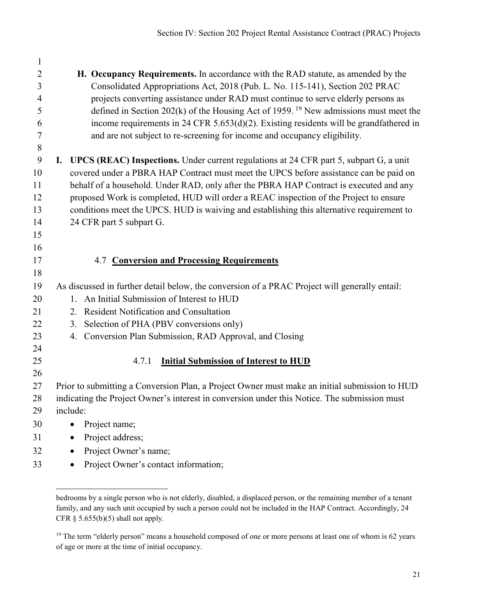| $\mathbf{1}$   |                                                                                                                 |
|----------------|-----------------------------------------------------------------------------------------------------------------|
| $\overline{2}$ | H. Occupancy Requirements. In accordance with the RAD statute, as amended by the                                |
| 3              | Consolidated Appropriations Act, 2018 (Pub. L. No. 115-141), Section 202 PRAC                                   |
| $\overline{4}$ | projects converting assistance under RAD must continue to serve elderly persons as                              |
| 5              | defined in Section 202(k) of the Housing Act of 1959. <sup>19</sup> New admissions must meet the                |
| 6              | income requirements in 24 CFR $5.653(d)(2)$ . Existing residents will be grandfathered in                       |
| $\tau$         | and are not subject to re-screening for income and occupancy eligibility.                                       |
| $\,8\,$<br>9   | <b>UPCS (REAC) Inspections.</b> Under current regulations at 24 CFR part 5, subpart G, a unit<br>$\mathbf{I}$ . |
| 10             | covered under a PBRA HAP Contract must meet the UPCS before assistance can be paid on                           |
| 11             | behalf of a household. Under RAD, only after the PBRA HAP Contract is executed and any                          |
| 12             | proposed Work is completed, HUD will order a REAC inspection of the Project to ensure                           |
| 13             | conditions meet the UPCS. HUD is waiving and establishing this alternative requirement to                       |
| 14             | 24 CFR part 5 subpart G.                                                                                        |
| 15             |                                                                                                                 |
| 16             |                                                                                                                 |
| 17             | <b>Conversion and Processing Requirements</b><br>4.7                                                            |
| 18             |                                                                                                                 |
| 19             | As discussed in further detail below, the conversion of a PRAC Project will generally entail:                   |
| 20             | An Initial Submission of Interest to HUD<br>1.                                                                  |
| 21             | <b>Resident Notification and Consultation</b><br>2.                                                             |
| 22             | Selection of PHA (PBV conversions only)<br>3.                                                                   |
| 23             | 4. Conversion Plan Submission, RAD Approval, and Closing                                                        |
| 24             |                                                                                                                 |
| 25             | <b>Initial Submission of Interest to HUD</b><br>4.7.1                                                           |
| 26<br>27       | Prior to submitting a Conversion Plan, a Project Owner must make an initial submission to HUD                   |
| 28             | indicating the Project Owner's interest in conversion under this Notice. The submission must                    |
| 29             | include:                                                                                                        |
| 30             | Project name;                                                                                                   |
| 31             | Project address;<br>$\bullet$                                                                                   |
| 32             | Project Owner's name;                                                                                           |
| 33             | Project Owner's contact information;                                                                            |
|                |                                                                                                                 |

bedrooms by a single person who is not elderly, disabled, a displaced person, or the remaining member of a tenant family, and any such unit occupied by such a person could not be included in the HAP Contract. Accordingly, 24 CFR  $\S$  5.655(b)(5) shall not apply.

 $\overline{a}$ 

<span id="page-20-0"></span><sup>&</sup>lt;sup>19</sup> The term ["elderly person"](https://www.law.cornell.edu/definitions/uscode.php?width=840&height=800&iframe=true&def_id=12-USC-1276302974-1510435013&term_occur=11&term_src=title:12:chapter:13:section:1701q) means a household composed of one or more persons at least one of whom is 62 years of age or more at the time of initial occupancy.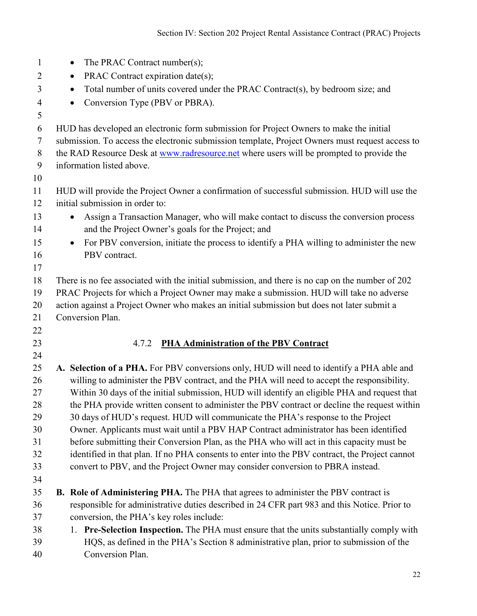| $\mathbf{1}$   | The PRAC Contract number(s);<br>$\bullet$                                                                                                   |
|----------------|---------------------------------------------------------------------------------------------------------------------------------------------|
| 2              | PRAC Contract expiration date(s);<br>$\bullet$                                                                                              |
| 3              | Total number of units covered under the PRAC Contract(s), by bedroom size; and<br>$\bullet$                                                 |
| $\overline{4}$ | Conversion Type (PBV or PBRA).<br>$\bullet$                                                                                                 |
| 5              |                                                                                                                                             |
| 6              | HUD has developed an electronic form submission for Project Owners to make the initial                                                      |
| $\tau$         | submission. To access the electronic submission template, Project Owners must request access to                                             |
| 8              | the RAD Resource Desk at www.radresource.net where users will be prompted to provide the                                                    |
| 9              | information listed above.                                                                                                                   |
| 10             |                                                                                                                                             |
| 11             | HUD will provide the Project Owner a confirmation of successful submission. HUD will use the                                                |
| 12             | initial submission in order to:                                                                                                             |
| 13<br>14       | Assign a Transaction Manager, who will make contact to discuss the conversion process<br>and the Project Owner's goals for the Project; and |
| 15             | For PBV conversion, initiate the process to identify a PHA willing to administer the new<br>$\bullet$                                       |
| 16             | PBV contract.                                                                                                                               |
| 17             |                                                                                                                                             |
| 18             | There is no fee associated with the initial submission, and there is no cap on the number of 202                                            |
| 19             | PRAC Projects for which a Project Owner may make a submission. HUD will take no adverse                                                     |
| 20             | action against a Project Owner who makes an initial submission but does not later submit a                                                  |
| 21             | Conversion Plan.                                                                                                                            |
| 22             |                                                                                                                                             |
| 23             | <b>PHA Administration of the PBV Contract</b><br>4.7.2                                                                                      |
| 24             |                                                                                                                                             |
| 25             | A. Selection of a PHA. For PBV conversions only, HUD will need to identify a PHA able and                                                   |
| 26             | willing to administer the PBV contract, and the PHA will need to accept the responsibility.                                                 |
| 27             | Within 30 days of the initial submission, HUD will identify an eligible PHA and request that                                                |
| 28             | the PHA provide written consent to administer the PBV contract or decline the request within                                                |
| 29             | 30 days of HUD's request. HUD will communicate the PHA's response to the Project                                                            |
| 30             | Owner. Applicants must wait until a PBV HAP Contract administrator has been identified                                                      |
| 31             | before submitting their Conversion Plan, as the PHA who will act in this capacity must be                                                   |
| 32             | identified in that plan. If no PHA consents to enter into the PBV contract, the Project cannot                                              |
| 33             | convert to PBV, and the Project Owner may consider conversion to PBRA instead.                                                              |
| 34             |                                                                                                                                             |
| 35             | <b>B.</b> Role of Administering PHA. The PHA that agrees to administer the PBV contract is                                                  |
| 36             | responsible for administrative duties described in 24 CFR part 983 and this Notice. Prior to                                                |
| 37             | conversion, the PHA's key roles include:                                                                                                    |
| 38             | 1. Pre-Selection Inspection. The PHA must ensure that the units substantially comply with                                                   |
| 39             | HQS, as defined in the PHA's Section 8 administrative plan, prior to submission of the                                                      |
| 40             | Conversion Plan.                                                                                                                            |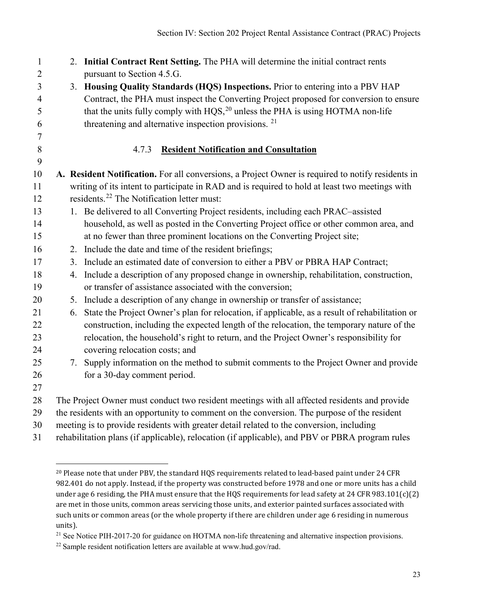| $\mathbf{1}$     | 2. Initial Contract Rent Setting. The PHA will determine the initial contract rents                  |
|------------------|------------------------------------------------------------------------------------------------------|
| $\mathbf{2}$     | pursuant to Section 4.5.G.                                                                           |
| 3                | 3. Housing Quality Standards (HQS) Inspections. Prior to entering into a PBV HAP                     |
| $\overline{4}$   | Contract, the PHA must inspect the Converting Project proposed for conversion to ensure              |
| 5                | that the units fully comply with HQS, <sup>20</sup> unless the PHA is using HOTMA non-life           |
| 6                | threatening and alternative inspection provisions. <sup>21</sup>                                     |
| $\boldsymbol{7}$ |                                                                                                      |
| 8<br>9           | <b>Resident Notification and Consultation</b><br>4.7.3                                               |
| 10               | A. Resident Notification. For all conversions, a Project Owner is required to notify residents in    |
| 11               | writing of its intent to participate in RAD and is required to hold at least two meetings with       |
| 12               | residents. <sup>22</sup> The Notification letter must:                                               |
| 13               | 1. Be delivered to all Converting Project residents, including each PRAC-assisted                    |
| 14               | household, as well as posted in the Converting Project office or other common area, and              |
| 15               | at no fewer than three prominent locations on the Converting Project site;                           |
| 16               | 2. Include the date and time of the resident briefings;                                              |
| 17               | Include an estimated date of conversion to either a PBV or PBRA HAP Contract;<br>3.                  |
| 18               | Include a description of any proposed change in ownership, rehabilitation, construction,<br>4.       |
| 19               | or transfer of assistance associated with the conversion;                                            |
| 20               | 5. Include a description of any change in ownership or transfer of assistance;                       |
| 21               | State the Project Owner's plan for relocation, if applicable, as a result of rehabilitation or<br>6. |
| 22               | construction, including the expected length of the relocation, the temporary nature of the           |
| 23               | relocation, the household's right to return, and the Project Owner's responsibility for              |
| 24               | covering relocation costs; and                                                                       |
| 25               | 7. Supply information on the method to submit comments to the Project Owner and provide              |
| 26               | for a 30-day comment period.                                                                         |
| 27               |                                                                                                      |
| 28               | The Project Owner must conduct two resident meetings with all affected residents and provide         |
| 29               | the residents with an opportunity to comment on the conversion. The purpose of the resident          |
| 30               | meeting is to provide residents with greater detail related to the conversion, including             |
| 31               | rehabilitation plans (if applicable), relocation (if applicable), and PBV or PBRA program rules      |

 $\overline{a}$ 

<span id="page-22-0"></span>

<sup>&</sup>lt;sup>20</sup> Please note that under PBV, the standard HQS requirements related to lead-based paint under 24 CFR 982.401 do not apply. Instead, if the property was constructed before 1978 and one or more units has a child under age 6 residing, the PHA must ensure that the HQS requirements for lead safety at 24 CFR 983.101(c)(2) are met in those units, common areas servicing those units, and exterior painted surfaces associated with such units or common areas (or the whole property if there are children under age 6 residing in numerous units).

<span id="page-22-1"></span><sup>&</sup>lt;sup>21</sup> See Notice PIH-2017-20 for guidance on HOTMA non-life threatening and alternative inspection provisions.

<span id="page-22-2"></span><sup>&</sup>lt;sup>22</sup> Sample resident notification letters are available at www.hud.gov/rad.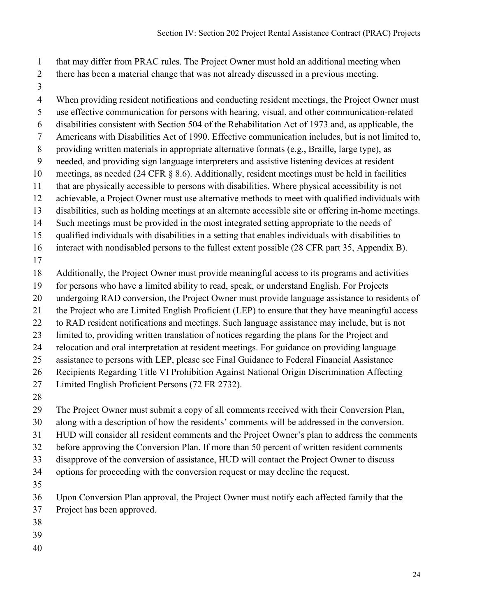- that may differ from PRAC rules. The Project Owner must hold an additional meeting when
- there has been a material change that was not already discussed in a previous meeting.
- 

 When providing resident notifications and conducting resident meetings, the Project Owner must use effective communication for persons with hearing, visual, and other communication-related disabilities consistent with Section 504 of the Rehabilitation Act of 1973 and, as applicable, the Americans with Disabilities Act of 1990. Effective communication includes, but is not limited to, providing written materials in appropriate alternative formats (e.g., Braille, large type), as needed, and providing sign language interpreters and assistive listening devices at resident meetings, as needed (24 CFR § 8.6). Additionally, resident meetings must be held in facilities that are physically accessible to persons with disabilities. Where physical accessibility is not achievable, a Project Owner must use alternative methods to meet with qualified individuals with disabilities, such as holding meetings at an alternate accessible site or offering in-home meetings. Such meetings must be provided in the most integrated setting appropriate to the needs of qualified individuals with disabilities in a setting that enables individuals with disabilities to interact with nondisabled persons to the fullest extent possible (28 CFR part 35, Appendix B). 

Additionally, the Project Owner must provide meaningful access to its programs and activities

for persons who have a limited ability to read, speak, or understand English. For Projects

undergoing RAD conversion, the Project Owner must provide language assistance to residents of

the Project who are Limited English Proficient (LEP) to ensure that they have meaningful access

to RAD resident notifications and meetings. Such language assistance may include, but is not

limited to, providing written translation of notices regarding the plans for the Project and

relocation and oral interpretation at resident meetings. For guidance on providing language

assistance to persons with LEP, please see Final Guidance to Federal Financial Assistance

Recipients Regarding Title VI Prohibition Against National Origin Discrimination Affecting

Limited English Proficient Persons (72 FR 2732).

The Project Owner must submit a copy of all comments received with their Conversion Plan,

- along with a description of how the residents' comments will be addressed in the conversion.
- HUD will consider all resident comments and the Project Owner's plan to address the comments

before approving the Conversion Plan. If more than 50 percent of written resident comments

disapprove of the conversion of assistance, HUD will contact the Project Owner to discuss

options for proceeding with the conversion request or may decline the request.

Upon Conversion Plan approval, the Project Owner must notify each affected family that the

- Project has been approved.
- 
- 
-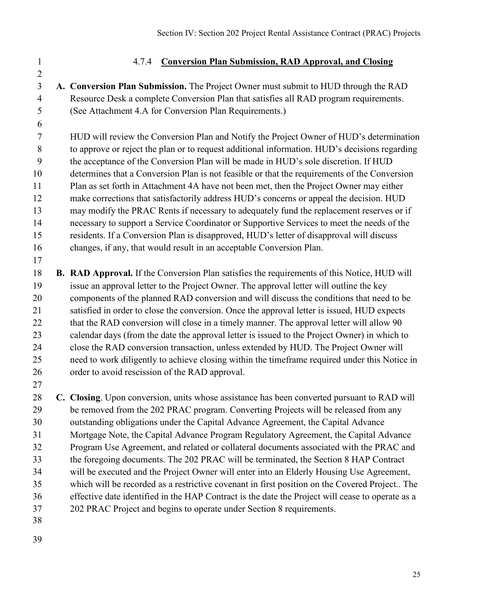| $\mathbf{1}$                 | <b>Conversion Plan Submission, RAD Approval, and Closing</b><br>4.7.4                         |
|------------------------------|-----------------------------------------------------------------------------------------------|
| $\sqrt{2}$<br>$\overline{3}$ | A. Conversion Plan Submission. The Project Owner must submit to HUD through the RAD           |
| $\overline{4}$               | Resource Desk a complete Conversion Plan that satisfies all RAD program requirements.         |
| 5                            | (See Attachment 4.A for Conversion Plan Requirements.)                                        |
| 6                            |                                                                                               |
| $\overline{7}$               | HUD will review the Conversion Plan and Notify the Project Owner of HUD's determination       |
| 8                            | to approve or reject the plan or to request additional information. HUD's decisions regarding |
| 9                            | the acceptance of the Conversion Plan will be made in HUD's sole discretion. If HUD           |
| 10                           | determines that a Conversion Plan is not feasible or that the requirements of the Conversion  |
| 11                           | Plan as set forth in Attachment 4A have not been met, then the Project Owner may either       |
| 12                           | make corrections that satisfactorily address HUD's concerns or appeal the decision. HUD       |
| 13                           | may modify the PRAC Rents if necessary to adequately fund the replacement reserves or if      |
| 14                           | necessary to support a Service Coordinator or Supportive Services to meet the needs of the    |
| 15                           | residents. If a Conversion Plan is disapproved, HUD's letter of disapproval will discuss      |
| 16                           | changes, if any, that would result in an acceptable Conversion Plan.                          |
| 17                           |                                                                                               |
| 18                           | B. RAD Approval. If the Conversion Plan satisfies the requirements of this Notice, HUD will   |
| 19                           | issue an approval letter to the Project Owner. The approval letter will outline the key       |
| 20                           | components of the planned RAD conversion and will discuss the conditions that need to be      |
| 21                           | satisfied in order to close the conversion. Once the approval letter is issued, HUD expects   |
| 22                           | that the RAD conversion will close in a timely manner. The approval letter will allow 90      |
| 23                           | calendar days (from the date the approval letter is issued to the Project Owner) in which to  |
| 24                           | close the RAD conversion transaction, unless extended by HUD. The Project Owner will          |
| 25                           | need to work diligently to achieve closing within the timeframe required under this Notice in |
| 26                           | order to avoid rescission of the RAD approval.                                                |
| 27                           |                                                                                               |
| 28                           | C. Closing. Upon conversion, units whose assistance has been converted pursuant to RAD will   |
| 29                           | be removed from the 202 PRAC program. Converting Projects will be released from any           |

 outstanding obligations under the Capital Advance Agreement, the Capital Advance Mortgage Note, the Capital Advance Program Regulatory Agreement, the Capital Advance Program Use Agreement, and related or collateral documents associated with the PRAC and the foregoing documents. The 202 PRAC will be terminated, the Section 8 HAP Contract will be executed and the Project Owner will enter into an Elderly Housing Use Agreement, which will be recorded as a restrictive covenant in first position on the Covered Project.. The effective date identified in the HAP Contract is the date the Project will cease to operate as a

- 202 PRAC Project and begins to operate under Section 8 requirements.
- 
-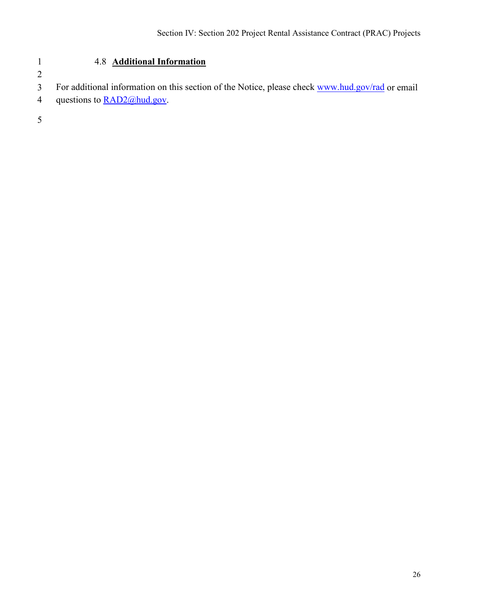# 1 4.8 **Additional Information**

2

3 For additional information on this section of the Notice, please check [www.hud.gov/rad](http://www.hud.gov/rad) or email

4 questions to **RAD2**@hud.gov.

5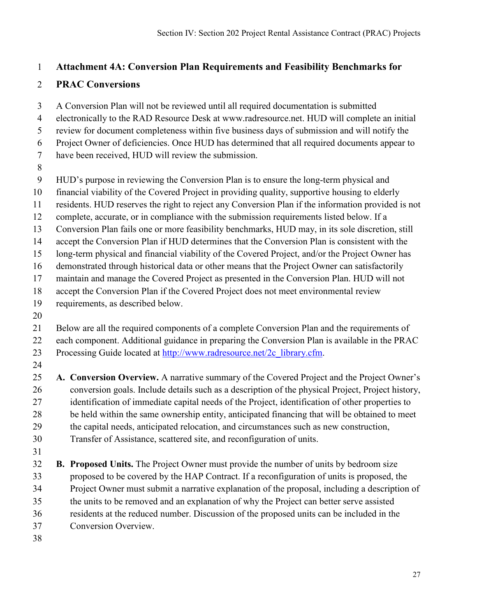## **Attachment 4A: Conversion Plan Requirements and Feasibility Benchmarks for**

## **PRAC Conversions**

A Conversion Plan will not be reviewed until all required documentation is submitted

electronically to the RAD Resource Desk at www.radresource.net. HUD will complete an initial

review for document completeness within five business days of submission and will notify the

Project Owner of deficiencies. Once HUD has determined that all required documents appear to

have been received, HUD will review the submission.

HUD's purpose in reviewing the Conversion Plan is to ensure the long-term physical and

- financial viability of the Covered Project in providing quality, supportive housing to elderly
- residents. HUD reserves the right to reject any Conversion Plan if the information provided is not
- complete, accurate, or in compliance with the submission requirements listed below. If a
- Conversion Plan fails one or more feasibility benchmarks, HUD may, in its sole discretion, still
- accept the Conversion Plan if HUD determines that the Conversion Plan is consistent with the

long-term physical and financial viability of the Covered Project, and/or the Project Owner has

demonstrated through historical data or other means that the Project Owner can satisfactorily

maintain and manage the Covered Project as presented in the Conversion Plan. HUD will not

accept the Conversion Plan if the Covered Project does not meet environmental review

- requirements, as described below.
- 

 Below are all the required components of a complete Conversion Plan and the requirements of each component. Additional guidance in preparing the Conversion Plan is available in the PRAC

Processing Guide located at [http://www.radresource.net/2c\\_library.cfm.](http://www.radresource.net/2c_library.cfm)

 **A. Conversion Overview.** A narrative summary of the Covered Project and the Project Owner's conversion goals. Include details such as a description of the physical Project, Project history, 27 identification of immediate capital needs of the Project, identification of other properties to be held within the same ownership entity, anticipated financing that will be obtained to meet the capital needs, anticipated relocation, and circumstances such as new construction, Transfer of Assistance, scattered site, and reconfiguration of units.

 **B. Proposed Units.** The Project Owner must provide the number of units by bedroom size proposed to be covered by the HAP Contract. If a reconfiguration of units is proposed, the Project Owner must submit a narrative explanation of the proposal, including a description of the units to be removed and an explanation of why the Project can better serve assisted residents at the reduced number. Discussion of the proposed units can be included in the Conversion Overview.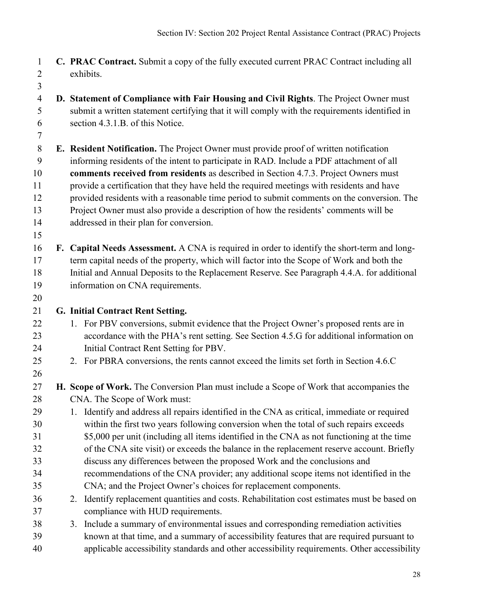- **C. PRAC Contract.** Submit a copy of the fully executed current PRAC Contract including all exhibits.
- **D. Statement of Compliance with Fair Housing and Civil Rights**. The Project Owner must submit a written statement certifying that it will comply with the requirements identified in section 4.3.1.B. of this Notice.
- 

 **E. Resident Notification.** The Project Owner must provide proof of written notification informing residents of the intent to participate in RAD. Include a PDF attachment of all **comments received from residents** as described in Section 4.7.3. Project Owners must provide a certification that they have held the required meetings with residents and have provided residents with a reasonable time period to submit comments on the conversion. The Project Owner must also provide a description of how the residents' comments will be addressed in their plan for conversion.

- 
- **F. Capital Needs Assessment.** A CNA is required in order to identify the short-term and long- term capital needs of the property, which will factor into the Scope of Work and both the Initial and Annual Deposits to the Replacement Reserve. See Paragraph 4.4.A. for additional 19 information on CNA requirements.
- 

## **G. Initial Contract Rent Setting.**

- 22 1. For PBV conversions, submit evidence that the Project Owner's proposed rents are in accordance with the PHA's rent setting. See Section 4.5.G for additional information on Initial Contract Rent Setting for PBV.
- 2. For PBRA conversions, the rents cannot exceed the limits set forth in Section 4.6.C
- 

# **H. Scope of Work.** The Conversion Plan must include a Scope of Work that accompanies the CNA. The Scope of Work must:

- 1. Identify and address all repairs identified in the CNA as critical, immediate or required within the first two years following conversion when the total of such repairs exceeds \$5,000 per unit (including all items identified in the CNA as not functioning at the time of the CNA site visit) or exceeds the balance in the replacement reserve account. Briefly
- discuss any differences between the proposed Work and the conclusions and
- recommendations of the CNA provider; any additional scope items not identified in the CNA; and the Project Owner's choices for replacement components.
- 2. Identify replacement quantities and costs. Rehabilitation cost estimates must be based on compliance with HUD requirements.
- 3. Include a summary of environmental issues and corresponding remediation activities
- known at that time, and a summary of accessibility features that are required pursuant to applicable accessibility standards and other accessibility requirements. Other accessibility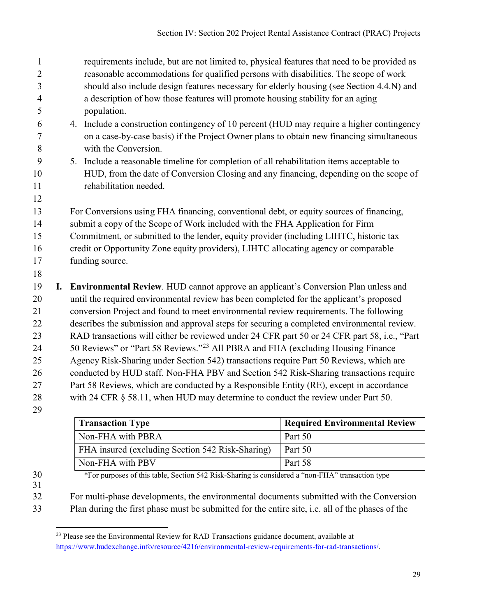| 1              |    | requirements include, but are not limited to, physical features that need to be provided as  |
|----------------|----|----------------------------------------------------------------------------------------------|
| $\overline{2}$ |    | reasonable accommodations for qualified persons with disabilities. The scope of work         |
| 3              |    | should also include design features necessary for elderly housing (see Section 4.4.N) and    |
| $\overline{4}$ |    | a description of how those features will promote housing stability for an aging              |
| 5              |    | population.                                                                                  |
| 6              |    | 4. Include a construction contingency of 10 percent (HUD may require a higher contingency    |
| $\tau$         |    | on a case-by-case basis) if the Project Owner plans to obtain new financing simultaneous     |
| 8              |    | with the Conversion.                                                                         |
| 9              |    | 5. Include a reasonable timeline for completion of all rehabilitation items acceptable to    |
| 10             |    | HUD, from the date of Conversion Closing and any financing, depending on the scope of        |
| 11             |    | rehabilitation needed.                                                                       |
| 12             |    |                                                                                              |
| 13             |    | For Conversions using FHA financing, conventional debt, or equity sources of financing,      |
| 14             |    | submit a copy of the Scope of Work included with the FHA Application for Firm                |
| 15             |    | Commitment, or submitted to the lender, equity provider (including LIHTC, historic tax       |
| 16             |    | credit or Opportunity Zone equity providers), LIHTC allocating agency or comparable          |
| 17             |    | funding source.                                                                              |
| 18             |    |                                                                                              |
| 19             | I. | Environmental Review. HUD cannot approve an applicant's Conversion Plan unless and           |
| 20             |    | until the required environmental review has been completed for the applicant's proposed      |
| 21             |    | conversion Project and found to meet environmental review requirements. The following        |
| 22             |    | describes the submission and approval steps for securing a completed environmental review.   |
| 23             |    | RAD transactions will either be reviewed under 24 CFR part 50 or 24 CFR part 58, i.e., "Part |
| 24             |    | 50 Reviews" or "Part 58 Reviews." <sup>23</sup> All PBRA and FHA (excluding Housing Finance  |
| 25             |    | Agency Risk-Sharing under Section 542) transactions require Part 50 Reviews, which are       |
| 26             |    | conducted by HUD staff. Non-FHA PBV and Section 542 Risk-Sharing transactions require        |
| 27             |    | Part 58 Reviews, which are conducted by a Responsible Entity (RE), except in accordance      |
| 28             |    | with 24 CFR § 58.11, when HUD may determine to conduct the review under Part 50.             |
| 29             |    |                                                                                              |

| <b>Transaction Type</b>                          | <b>Required Environmental Review</b> |
|--------------------------------------------------|--------------------------------------|
| Non-FHA with PBRA                                | Part 50                              |
| FHA insured (excluding Section 542 Risk-Sharing) | Part 50                              |
| Non-FHA with PBV                                 | Part 58                              |

- 
- \*For purposes of this table, Section 542 Risk-Sharing is considered a "non-FHA" transaction type
- For multi-phase developments, the environmental documents submitted with the Conversion
- <span id="page-28-0"></span>Plan during the first phase must be submitted for the entire site, i.e. all of the phases of the

<sup>&</sup>lt;sup>23</sup> Please see the Environmental Review for RAD Transactions guidance document, available at [https://www.hudexchange.info/resource/4216/environmental-review-requirements-for-rad-transactions/.](https://www.hudexchange.info/resource/4216/environmental-review-requirements-for-rad-transactions/)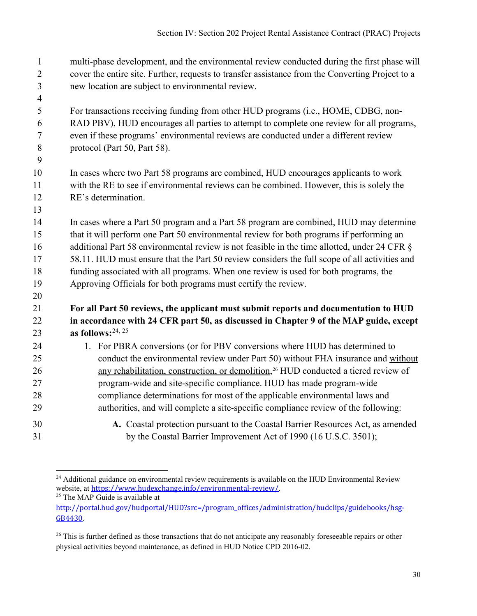| $\mathbf{1}$<br>2 | multi-phase development, and the environmental review conducted during the first phase will<br>cover the entire site. Further, requests to transfer assistance from the Converting Project to a |
|-------------------|-------------------------------------------------------------------------------------------------------------------------------------------------------------------------------------------------|
| $\overline{3}$    | new location are subject to environmental review.                                                                                                                                               |
| $\overline{4}$    |                                                                                                                                                                                                 |
| 5                 | For transactions receiving funding from other HUD programs (i.e., HOME, CDBG, non-                                                                                                              |
| 6<br>$\tau$       | RAD PBV), HUD encourages all parties to attempt to complete one review for all programs,<br>even if these programs' environmental reviews are conducted under a different review                |
| $8\,$             | protocol (Part 50, Part 58).                                                                                                                                                                    |
| 9                 |                                                                                                                                                                                                 |
| 10<br>11          | In cases where two Part 58 programs are combined, HUD encourages applicants to work<br>with the RE to see if environmental reviews can be combined. However, this is solely the                 |
| 12                | RE's determination.                                                                                                                                                                             |
| 13                |                                                                                                                                                                                                 |
| 14                | In cases where a Part 50 program and a Part 58 program are combined, HUD may determine                                                                                                          |
| 15                | that it will perform one Part 50 environmental review for both programs if performing an                                                                                                        |
| 16                | additional Part 58 environmental review is not feasible in the time allotted, under 24 CFR §                                                                                                    |
| 17                | 58.11. HUD must ensure that the Part 50 review considers the full scope of all activities and                                                                                                   |
| 18                | funding associated with all programs. When one review is used for both programs, the                                                                                                            |
| 19                | Approving Officials for both programs must certify the review.                                                                                                                                  |
| 20                |                                                                                                                                                                                                 |
| 21                | For all Part 50 reviews, the applicant must submit reports and documentation to HUD                                                                                                             |
| 22                | in accordance with 24 CFR part 50, as discussed in Chapter 9 of the MAP guide, except                                                                                                           |
| 23                | as follows: $24, 25$                                                                                                                                                                            |
| 24                | 1. For PBRA conversions (or for PBV conversions where HUD has determined to                                                                                                                     |
| 25                | conduct the environmental review under Part 50) without FHA insurance and without                                                                                                               |
| 26                | any rehabilitation, construction, or demolition, <sup>26</sup> HUD conducted a tiered review of                                                                                                 |
| 27                | program-wide and site-specific compliance. HUD has made program-wide                                                                                                                            |
| 28                | compliance determinations for most of the applicable environmental laws and                                                                                                                     |
| 29                | authorities, and will complete a site-specific compliance review of the following:                                                                                                              |
| 30                | A. Coastal protection pursuant to the Coastal Barrier Resources Act, as amended                                                                                                                 |
| 31                | by the Coastal Barrier Improvement Act of 1990 (16 U.S.C. 3501);                                                                                                                                |

<span id="page-29-0"></span><sup>&</sup>lt;sup>24</sup> Additional guidance on environmental review requirements is available on the HUD Environmental Review website, at https://www[.](https://www.hudexchange.info/environmental-review/)hudexchange.info/environmental-review/.<br><sup>25</sup> The MAP Guide is available at

<span id="page-29-1"></span>

[http://portal.hud.gov/hudportal/HUD?src=/program\\_offices/administration/hudclips/guidebooks/hsg-](http://portal.hud.gov/hudportal/HUD?src=/program_offices/administration/hudclips/guidebooks/hsg-GB4430)[GB4430](http://portal.hud.gov/hudportal/HUD?src=/program_offices/administration/hudclips/guidebooks/hsg-GB4430).

<span id="page-29-2"></span><sup>&</sup>lt;sup>26</sup> This is further defined as those transactions that do not anticipate any reasonably foreseeable repairs or other physical activities beyond maintenance, as defined in HUD Notice CPD 2016-02.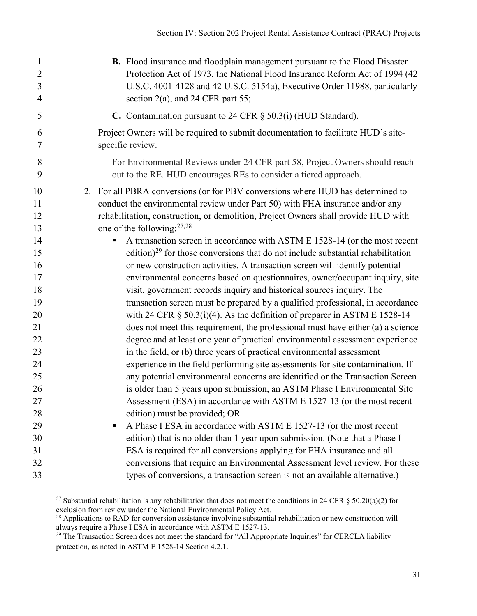| $\mathbf{1}$<br>$\overline{2}$<br>3<br>$\overline{4}$ | B. Flood insurance and floodplain management pursuant to the Flood Disaster<br>Protection Act of 1973, the National Flood Insurance Reform Act of 1994 (42<br>U.S.C. 4001-4128 and 42 U.S.C. 5154a), Executive Order 11988, particularly<br>section $2(a)$ , and 24 CFR part 55;        |
|-------------------------------------------------------|-----------------------------------------------------------------------------------------------------------------------------------------------------------------------------------------------------------------------------------------------------------------------------------------|
| 5                                                     | C. Contamination pursuant to 24 CFR $\S$ 50.3(i) (HUD Standard).                                                                                                                                                                                                                        |
| 6<br>7                                                | Project Owners will be required to submit documentation to facilitate HUD's site-<br>specific review.                                                                                                                                                                                   |
| 8<br>9                                                | For Environmental Reviews under 24 CFR part 58, Project Owners should reach<br>out to the RE. HUD encourages REs to consider a tiered approach.                                                                                                                                         |
| 10<br>11<br>12<br>13                                  | 2. For all PBRA conversions (or for PBV conversions where HUD has determined to<br>conduct the environmental review under Part 50) with FHA insurance and/or any<br>rehabilitation, construction, or demolition, Project Owners shall provide HUD with<br>one of the following: $27,28$ |
| 14<br>15<br>16                                        | A transaction screen in accordance with ASTM E 1528-14 (or the most recent<br>edition) <sup>29</sup> for those conversions that do not include substantial rehabilitation<br>or new construction activities. A transaction screen will identify potential                               |
| 17<br>18<br>19                                        | environmental concerns based on questionnaires, owner/occupant inquiry, site<br>visit, government records inquiry and historical sources inquiry. The                                                                                                                                   |
| 20<br>21                                              | transaction screen must be prepared by a qualified professional, in accordance<br>with 24 CFR $\S$ 50.3(i)(4). As the definition of preparer in ASTM E 1528-14<br>does not meet this requirement, the professional must have either (a) a science                                       |
| 22<br>23                                              | degree and at least one year of practical environmental assessment experience<br>in the field, or (b) three years of practical environmental assessment                                                                                                                                 |
| 24                                                    | experience in the field performing site assessments for site contamination. If                                                                                                                                                                                                          |
| 25                                                    | any potential environmental concerns are identified or the Transaction Screen                                                                                                                                                                                                           |
| 26                                                    | is older than 5 years upon submission, an ASTM Phase I Environmental Site                                                                                                                                                                                                               |
| 27                                                    | Assessment (ESA) in accordance with ASTM E 1527-13 (or the most recent                                                                                                                                                                                                                  |
| 28                                                    | edition) must be provided; OR                                                                                                                                                                                                                                                           |
| 29                                                    | A Phase I ESA in accordance with ASTM E 1527-13 (or the most recent<br>п                                                                                                                                                                                                                |
| 30                                                    | edition) that is no older than 1 year upon submission. (Note that a Phase I                                                                                                                                                                                                             |
| 31                                                    | ESA is required for all conversions applying for FHA insurance and all                                                                                                                                                                                                                  |
| 32<br>33                                              | conversions that require an Environmental Assessment level review. For these<br>types of conversions, a transaction screen is not an available alternative.)                                                                                                                            |

<span id="page-30-0"></span><sup>&</sup>lt;sup>27</sup> Substantial rehabilitation is any rehabilitation that does not meet the conditions in 24 CFR  $\S$  50.20(a)(2) for exclusion from review under the National Environmental Policy Act.

<span id="page-30-1"></span><sup>&</sup>lt;sup>28</sup> Applications to RAD for conversion assistance involving substantial rehabilitation or new construction will always require a Phase I ESA in accordance with ASTM E 1527-13.

<span id="page-30-2"></span><sup>&</sup>lt;sup>29</sup> The Transaction Screen does not meet the standard for "All Appropriate Inquiries" for CERCLA liability protection, as noted in ASTM E 1528-14 Section 4.2.1.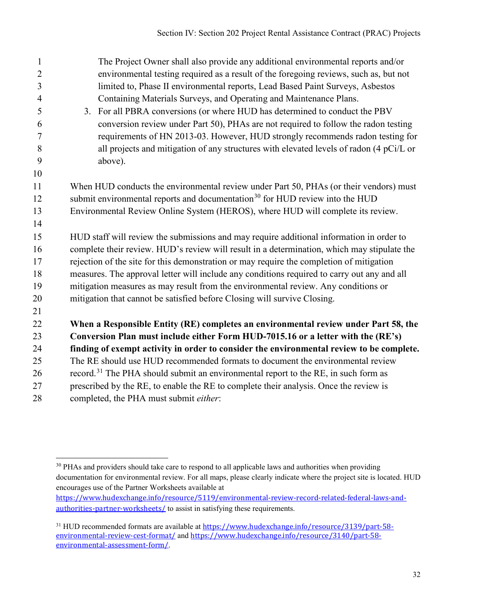| $\mathbf{1}$   | The Project Owner shall also provide any additional environmental reports and/or               |
|----------------|------------------------------------------------------------------------------------------------|
| $\overline{2}$ | environmental testing required as a result of the foregoing reviews, such as, but not          |
| 3              | limited to, Phase II environmental reports, Lead Based Paint Surveys, Asbestos                 |
| $\overline{4}$ | Containing Materials Surveys, and Operating and Maintenance Plans.                             |
| 5              | 3. For all PBRA conversions (or where HUD has determined to conduct the PBV                    |
| 6              | conversion review under Part 50), PHAs are not required to follow the radon testing            |
| $\tau$         | requirements of HN 2013-03. However, HUD strongly recommends radon testing for                 |
| 8              | all projects and mitigation of any structures with elevated levels of radon (4 pCi/L or        |
| 9              | above).                                                                                        |
| 10             |                                                                                                |
| 11             | When HUD conducts the environmental review under Part 50, PHAs (or their vendors) must         |
| 12             | submit environmental reports and documentation <sup>30</sup> for HUD review into the HUD       |
| 13             | Environmental Review Online System (HEROS), where HUD will complete its review.                |
| 14             |                                                                                                |
| 15             | HUD staff will review the submissions and may require additional information in order to       |
| 16             | complete their review. HUD's review will result in a determination, which may stipulate the    |
| 17             | rejection of the site for this demonstration or may require the completion of mitigation       |
| 18             | measures. The approval letter will include any conditions required to carry out any and all    |
| 19             | mitigation measures as may result from the environmental review. Any conditions or             |
| 20             | mitigation that cannot be satisfied before Closing will survive Closing.                       |
| 21             |                                                                                                |
| 22             | When a Responsible Entity (RE) completes an environmental review under Part 58, the            |
| 23             | Conversion Plan must include either Form HUD-7015.16 or a letter with the (RE's)               |
| 24             | finding of exempt activity in order to consider the environmental review to be complete.       |
| 25             | The RE should use HUD recommended formats to document the environmental review                 |
| 26             | record. <sup>31</sup> The PHA should submit an environmental report to the RE, in such form as |
| 27             | prescribed by the RE, to enable the RE to complete their analysis. Once the review is          |
| 28             | completed, the PHA must submit either:                                                         |

<span id="page-31-0"></span><sup>&</sup>lt;sup>30</sup> PHAs and providers should take care to respond to all applicable laws and authorities when providing documentation for environmental review. For all maps, please clearly indicate where the project site is located. HUD encourages use of the Partner Worksheets available at

[https://www.hudexchange.info/resource/5119/environmental-review-record-related-federal-laws-and](https://www.hudexchange.info/resource/5119/environmental-review-record-related-federal-laws-and-authorities-partner-worksheets/)[authorities-partner-worksheets/](https://www.hudexchange.info/resource/5119/environmental-review-record-related-federal-laws-and-authorities-partner-worksheets/) to assist in satisfying these requirements.

<span id="page-31-1"></span><sup>&</sup>lt;sup>31</sup> HUD recommended formats are available at [https://www.hudexchange.info/resource/3139/part-58](https://www.hudexchange.info/resource/3139/part-58-environmental-review-cest-format/) [environmental-review-cest-format/](https://www.hudexchange.info/resource/3139/part-58-environmental-review-cest-format/) and [https://www.hudexchange.info/resource/3140/part-58](https://www.hudexchange.info/resource/3140/part-58-environmental-assessment-form/) [environmental-assessment-form/](https://www.hudexchange.info/resource/3140/part-58-environmental-assessment-form/).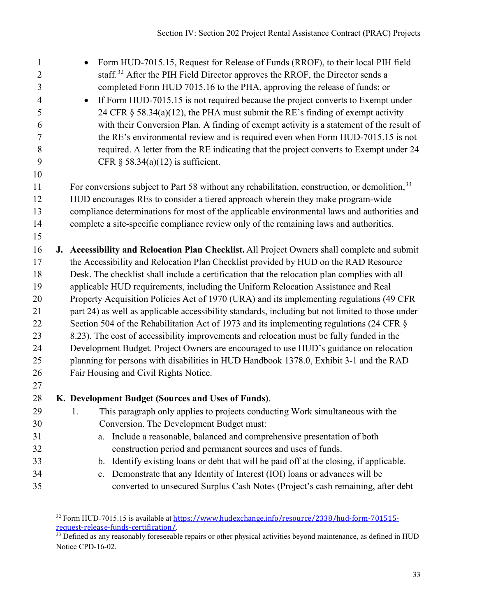| $\mathbf{1}$<br>$\overline{2}$ | Form HUD-7015.15, Request for Release of Funds (RROF), to their local PIH field<br>$\bullet$<br>staff. <sup>32</sup> After the PIH Field Director approves the RROF, the Director sends a |  |  |  |  |
|--------------------------------|-------------------------------------------------------------------------------------------------------------------------------------------------------------------------------------------|--|--|--|--|
| 3                              | completed Form HUD 7015.16 to the PHA, approving the release of funds; or                                                                                                                 |  |  |  |  |
| $\overline{4}$<br>5            | If Form HUD-7015.15 is not required because the project converts to Exempt under<br>$\bullet$<br>24 CFR § 58.34(a)(12), the PHA must submit the RE's finding of exempt activity           |  |  |  |  |
| 6                              | with their Conversion Plan. A finding of exempt activity is a statement of the result of                                                                                                  |  |  |  |  |
| 7                              | the RE's environmental review and is required even when Form HUD-7015.15 is not                                                                                                           |  |  |  |  |
| 8                              | required. A letter from the RE indicating that the project converts to Exempt under 24                                                                                                    |  |  |  |  |
| 9                              | CFR $\S$ 58.34(a)(12) is sufficient.                                                                                                                                                      |  |  |  |  |
| 10                             |                                                                                                                                                                                           |  |  |  |  |
| 11                             | For conversions subject to Part 58 without any rehabilitation, construction, or demolition, 33                                                                                            |  |  |  |  |
| 12                             | HUD encourages REs to consider a tiered approach wherein they make program-wide                                                                                                           |  |  |  |  |
| 13                             | compliance determinations for most of the applicable environmental laws and authorities and                                                                                               |  |  |  |  |
| 14                             | complete a site-specific compliance review only of the remaining laws and authorities.                                                                                                    |  |  |  |  |
| 15                             |                                                                                                                                                                                           |  |  |  |  |
| 16                             | J. Accessibility and Relocation Plan Checklist. All Project Owners shall complete and submit                                                                                              |  |  |  |  |
| 17                             | the Accessibility and Relocation Plan Checklist provided by HUD on the RAD Resource                                                                                                       |  |  |  |  |
| 18                             | Desk. The checklist shall include a certification that the relocation plan complies with all                                                                                              |  |  |  |  |
| 19                             | applicable HUD requirements, including the Uniform Relocation Assistance and Real                                                                                                         |  |  |  |  |
| 20                             | Property Acquisition Policies Act of 1970 (URA) and its implementing regulations (49 CFR                                                                                                  |  |  |  |  |
| 21                             | part 24) as well as applicable accessibility standards, including but not limited to those under                                                                                          |  |  |  |  |
| 22                             | Section 504 of the Rehabilitation Act of 1973 and its implementing regulations (24 CFR $\S$                                                                                               |  |  |  |  |
| 23                             | 8.23). The cost of accessibility improvements and relocation must be fully funded in the                                                                                                  |  |  |  |  |
| 24                             | Development Budget. Project Owners are encouraged to use HUD's guidance on relocation                                                                                                     |  |  |  |  |
| 25                             | planning for persons with disabilities in HUD Handbook 1378.0, Exhibit 3-1 and the RAD                                                                                                    |  |  |  |  |
| 26                             | Fair Housing and Civil Rights Notice.                                                                                                                                                     |  |  |  |  |
| 27                             |                                                                                                                                                                                           |  |  |  |  |
| 28                             | K. Development Budget (Sources and Uses of Funds).                                                                                                                                        |  |  |  |  |
| 29                             | 1.<br>This paragraph only applies to projects conducting Work simultaneous with the                                                                                                       |  |  |  |  |
| 30                             | Conversion. The Development Budget must:                                                                                                                                                  |  |  |  |  |
| 31                             | Include a reasonable, balanced and comprehensive presentation of both<br>a.                                                                                                               |  |  |  |  |
| 32                             | construction period and permanent sources and uses of funds.                                                                                                                              |  |  |  |  |
| 33                             | b. Identify existing loans or debt that will be paid off at the closing, if applicable.                                                                                                   |  |  |  |  |
| 34                             | Demonstrate that any Identity of Interest (IOI) loans or advances will be<br>c.                                                                                                           |  |  |  |  |
| 35                             | converted to unsecured Surplus Cash Notes (Project's cash remaining, after debt                                                                                                           |  |  |  |  |

<span id="page-32-0"></span><sup>&</sup>lt;sup>32</sup> Form HUD-7015.15 is available at [https://www.hudexchange.info/resource/2338/hud-form-701515-](https://www.hudexchange.info/resource/2338/hud-form-701515-request-release-funds-certification/) request-release-funds-certification/[.](https://www.hudexchange.info/resource/2338/hud-form-701515-request-release-funds-certification/)<br>33 Defined as any reasonably foreseeable repairs or other physical activities beyond maintenance, as defined in HUD

<span id="page-32-1"></span>Notice CPD-16-02.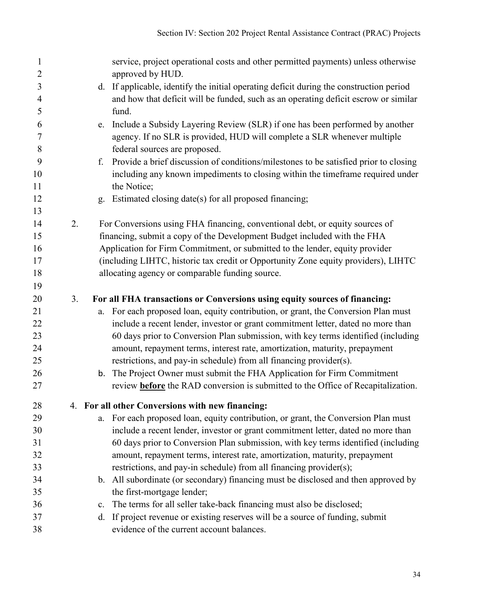| $\mathbf{1}$<br>$\overline{2}$ |    |                | service, project operational costs and other permitted payments) unless otherwise<br>approved by HUD. |
|--------------------------------|----|----------------|-------------------------------------------------------------------------------------------------------|
|                                |    |                |                                                                                                       |
| 3<br>$\overline{4}$            |    |                | d. If applicable, identify the initial operating deficit during the construction period               |
| 5                              |    |                | and how that deficit will be funded, such as an operating deficit escrow or similar<br>fund.          |
| 6                              |    |                | e. Include a Subsidy Layering Review (SLR) if one has been performed by another                       |
| 7                              |    |                | agency. If no SLR is provided, HUD will complete a SLR whenever multiple                              |
| 8                              |    |                | federal sources are proposed.                                                                         |
| 9                              |    | f.             | Provide a brief discussion of conditions/milestones to be satisfied prior to closing                  |
| 10                             |    |                | including any known impediments to closing within the timeframe required under                        |
| 11                             |    |                | the Notice;                                                                                           |
| 12                             |    |                | g. Estimated closing date(s) for all proposed financing;                                              |
| 13                             |    |                |                                                                                                       |
| 14                             | 2. |                | For Conversions using FHA financing, conventional debt, or equity sources of                          |
| 15                             |    |                | financing, submit a copy of the Development Budget included with the FHA                              |
| 16                             |    |                | Application for Firm Commitment, or submitted to the lender, equity provider                          |
| 17                             |    |                | (including LIHTC, historic tax credit or Opportunity Zone equity providers), LIHTC                    |
| 18                             |    |                | allocating agency or comparable funding source.                                                       |
| 19                             |    |                |                                                                                                       |
| 20                             | 3. |                | For all FHA transactions or Conversions using equity sources of financing:                            |
| 21                             |    | a.             | For each proposed loan, equity contribution, or grant, the Conversion Plan must                       |
| 22                             |    |                | include a recent lender, investor or grant commitment letter, dated no more than                      |
| 23                             |    |                | 60 days prior to Conversion Plan submission, with key terms identified (including                     |
| 24                             |    |                | amount, repayment terms, interest rate, amortization, maturity, prepayment                            |
| 25                             |    |                | restrictions, and pay-in schedule) from all financing provider(s).                                    |
| 26                             |    |                | b. The Project Owner must submit the FHA Application for Firm Commitment                              |
| 27                             |    |                | review <b>before</b> the RAD conversion is submitted to the Office of Recapitalization.               |
|                                |    |                |                                                                                                       |
| $28\,$                         |    |                | 4. For all other Conversions with new financing:                                                      |
| 29                             |    | a.             | For each proposed loan, equity contribution, or grant, the Conversion Plan must                       |
| 30                             |    |                | include a recent lender, investor or grant commitment letter, dated no more than                      |
| 31                             |    |                | 60 days prior to Conversion Plan submission, with key terms identified (including                     |
| 32                             |    |                | amount, repayment terms, interest rate, amortization, maturity, prepayment                            |
| 33                             |    |                | restrictions, and pay-in schedule) from all financing provider(s);                                    |
| 34                             |    |                | b. All subordinate (or secondary) financing must be disclosed and then approved by                    |
| 35                             |    |                | the first-mortgage lender;                                                                            |
| 36                             |    | $\mathbf{c}$ . | The terms for all seller take-back financing must also be disclosed;                                  |
| 37                             |    | d.             | If project revenue or existing reserves will be a source of funding, submit                           |
| 38                             |    |                | evidence of the current account balances.                                                             |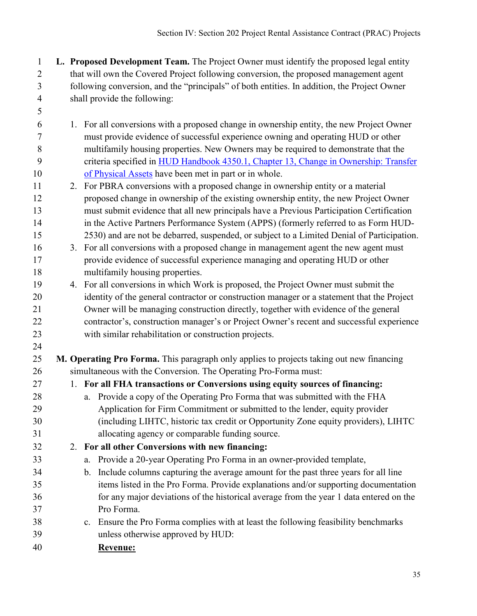**L. Proposed Development Team.** The Project Owner must identify the proposed legal entity 2 that will own the Covered Project following conversion, the proposed management agent following conversion, and the "principals" of both entities. In addition, the Project Owner shall provide the following:

- 1. For all conversions with a proposed change in ownership entity, the new Project Owner must provide evidence of successful experience owning and operating HUD or other multifamily housing properties. New Owners may be required to demonstrate that the criteria specified in HUD [Handbook 4350.1, Chapter 13, Change in Ownership: Transfer](https://www.hud.gov/sites/documents/DOC_25517.PDF)  [of Physical Assets](https://www.hud.gov/sites/documents/DOC_25517.PDF) have been met in part or in whole.
- 2. For PBRA conversions with a proposed change in ownership entity or a material proposed change in ownership of the existing ownership entity, the new Project Owner must submit evidence that all new principals have a Previous Participation Certification in the Active Partners Performance System (APPS) (formerly referred to as Form HUD-2530) and are not be debarred, suspended, or subject to a Limited Denial of Participation.
- 3. For all conversions with a proposed change in management agent the new agent must provide evidence of successful experience managing and operating HUD or other multifamily housing properties.
- 4. For all conversions in which Work is proposed, the Project Owner must submit the identity of the general contractor or construction manager or a statement that the Project Owner will be managing construction directly, together with evidence of the general contractor's, construction manager's or Project Owner's recent and successful experience with similar rehabilitation or construction projects.
- **M. Operating Pro Forma.** This paragraph only applies to projects taking out new financing simultaneous with the Conversion. The Operating Pro-Forma must:
- 1. **For all FHA transactions or Conversions using equity sources of financing:**
- a. Provide a copy of the Operating Pro Forma that was submitted with the FHA Application for Firm Commitment or submitted to the lender, equity provider (including LIHTC, historic tax credit or Opportunity Zone equity providers), LIHTC allocating agency or comparable funding source.

# 2. **For all other Conversions with new financing:**

- a. Provide a 20-year Operating Pro Forma in an owner-provided template,
- b. Include columns capturing the average amount for the past three years for all line items listed in the Pro Forma. Provide explanations and/or supporting documentation for any major deviations of the historical average from the year 1 data entered on the Pro Forma.
- c. Ensure the Pro Forma complies with at least the following feasibility benchmarks unless otherwise approved by HUD:
- **Revenue:**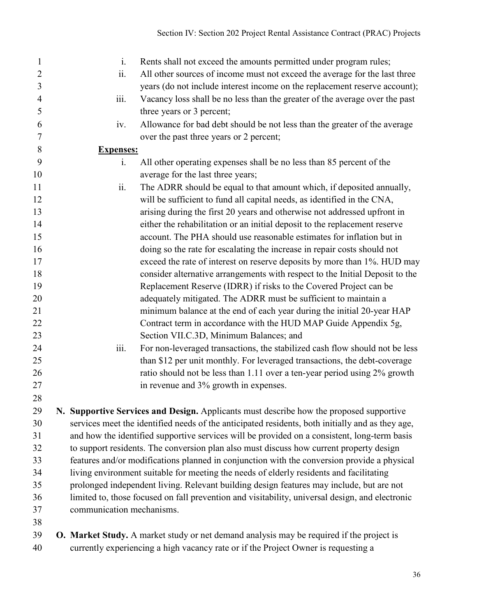| 1              | $\mathbf{i}$ .            | Rents shall not exceed the amounts permitted under program rules;                                |  |  |  |  |
|----------------|---------------------------|--------------------------------------------------------------------------------------------------|--|--|--|--|
| $\overline{2}$ | ii.                       | All other sources of income must not exceed the average for the last three                       |  |  |  |  |
| 3              |                           | years (do not include interest income on the replacement reserve account);                       |  |  |  |  |
| $\overline{4}$ | iii.                      | Vacancy loss shall be no less than the greater of the average over the past                      |  |  |  |  |
| 5              |                           | three years or 3 percent;                                                                        |  |  |  |  |
| 6              | iv.                       | Allowance for bad debt should be not less than the greater of the average                        |  |  |  |  |
| 7              |                           | over the past three years or 2 percent;                                                          |  |  |  |  |
| 8              | <b>Expenses:</b>          |                                                                                                  |  |  |  |  |
| 9              | i.                        | All other operating expenses shall be no less than 85 percent of the                             |  |  |  |  |
| 10             |                           | average for the last three years;                                                                |  |  |  |  |
| 11             | ii.                       | The ADRR should be equal to that amount which, if deposited annually,                            |  |  |  |  |
| 12             |                           | will be sufficient to fund all capital needs, as identified in the CNA,                          |  |  |  |  |
| 13             |                           | arising during the first 20 years and otherwise not addressed upfront in                         |  |  |  |  |
| 14             |                           | either the rehabilitation or an initial deposit to the replacement reserve                       |  |  |  |  |
| 15             |                           | account. The PHA should use reasonable estimates for inflation but in                            |  |  |  |  |
| 16             |                           | doing so the rate for escalating the increase in repair costs should not                         |  |  |  |  |
| 17             |                           | exceed the rate of interest on reserve deposits by more than 1%. HUD may                         |  |  |  |  |
| 18             |                           | consider alternative arrangements with respect to the Initial Deposit to the                     |  |  |  |  |
| 19             |                           | Replacement Reserve (IDRR) if risks to the Covered Project can be                                |  |  |  |  |
| 20             |                           | adequately mitigated. The ADRR must be sufficient to maintain a                                  |  |  |  |  |
| 21             |                           | minimum balance at the end of each year during the initial 20-year HAP                           |  |  |  |  |
| 22             |                           | Contract term in accordance with the HUD MAP Guide Appendix 5g,                                  |  |  |  |  |
| 23             |                           | Section VII.C.3D, Minimum Balances; and                                                          |  |  |  |  |
| 24             | iii.                      | For non-leveraged transactions, the stabilized cash flow should not be less                      |  |  |  |  |
| 25             |                           | than \$12 per unit monthly. For leveraged transactions, the debt-coverage                        |  |  |  |  |
| 26             |                           | ratio should not be less than 1.11 over a ten-year period using 2% growth                        |  |  |  |  |
| 27             |                           | in revenue and 3% growth in expenses.                                                            |  |  |  |  |
| 28             |                           |                                                                                                  |  |  |  |  |
| 29             |                           | N. Supportive Services and Design. Applicants must describe how the proposed supportive          |  |  |  |  |
| 30             |                           | services meet the identified needs of the anticipated residents, both initially and as they age, |  |  |  |  |
| 31             |                           | and how the identified supportive services will be provided on a consistent, long-term basis     |  |  |  |  |
| 32             |                           | to support residents. The conversion plan also must discuss how current property design          |  |  |  |  |
| 33             |                           | features and/or modifications planned in conjunction with the conversion provide a physical      |  |  |  |  |
| 34             |                           | living environment suitable for meeting the needs of elderly residents and facilitating          |  |  |  |  |
| 35             |                           | prolonged independent living. Relevant building design features may include, but are not         |  |  |  |  |
| 36             |                           | limited to, those focused on fall prevention and visitability, universal design, and electronic  |  |  |  |  |
| 37             | communication mechanisms. |                                                                                                  |  |  |  |  |
| 38             |                           |                                                                                                  |  |  |  |  |
| 39             |                           | <b>O. Market Study.</b> A market study or net demand analysis may be required if the project is  |  |  |  |  |

currently experiencing a high vacancy rate or if the Project Owner is requesting a